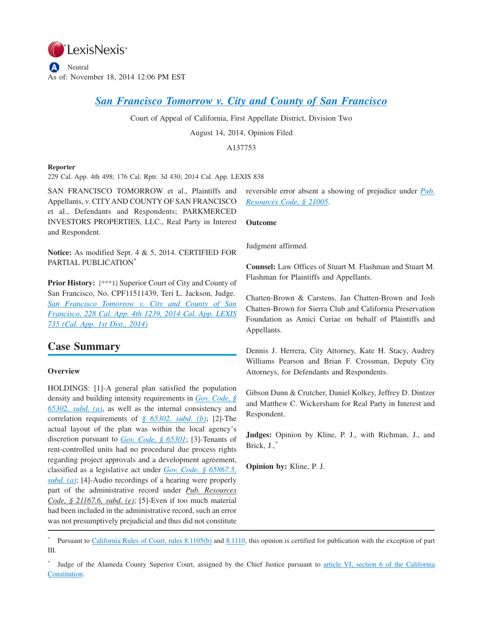

# *[San Francisco Tomorrow v. City and County of San Francisco](http://advance.lexis.com/api/document?collection=cases&id=urn:contentItem:5D53-T501-DXHD-W000-00000-00&context=1000516)*

Court of Appeal of California, First Appellate District, Division Two

August 14, 2014, Opinion Filed

A137753

### **Reporter**

229 Cal. App. 4th 498; 176 Cal. Rptr. 3d 430; 2014 Cal. App. LEXIS 838

SAN FRANCISCO TOMORROW et al., Plaintiffs and Appellants, v. CITYAND COUNTY OF SAN FRANCISCO et al., Defendants and Respondents; PARKMERCED INVESTORS PROPERTIES, LLC., Real Party in Interest and Respondent.

**Notice:** As modified Sept. 4 & 5, 2014. CERTIFIED FOR PARTIAL PUBLICATION\*

**Prior History: [\*\*\*1]** Superior Court of City and County of San Francisco, No. CPF11511439, Teri L. Jackson, Judge. *[San Francisco Tomorrow v. City and County of San](http://advance.lexis.com/api/document?collection=cases&id=urn:contentItem:5CX3-S2D1-F04B-N01B-00000-00&context=1000516) [Francisco, 228 Cal. App. 4th 1239, 2014 Cal. App. LEXIS](http://advance.lexis.com/api/document?collection=cases&id=urn:contentItem:5CX3-S2D1-F04B-N01B-00000-00&context=1000516) [735 \(Cal. App. 1st Dist., 2014\)](http://advance.lexis.com/api/document?collection=cases&id=urn:contentItem:5CX3-S2D1-F04B-N01B-00000-00&context=1000516)*

# **Case Summary**

### **Overview**

HOLDINGS: [1]-A general plan satisfied the population density and building intensity requirements in *[Gov. Code, §](http://advance.lexis.com/api/document?collection=statutes-legislation&id=urn:contentItem:4WN7-XNT0-R03J-V1B9-00000-00&context=1000516) [65302, subd. \(a\)](http://advance.lexis.com/api/document?collection=statutes-legislation&id=urn:contentItem:4WN7-XNT0-R03J-V1B9-00000-00&context=1000516)*, as well as the internal consistency and correlation requirements of *[§ 65302, subd. \(b\)](http://advance.lexis.com/api/document?collection=statutes-legislation&id=urn:contentItem:4WN7-XNT0-R03J-V1B9-00000-00&context=1000516)*; [2]-The actual layout of the plan was within the local agency's discretion pursuant to *[Gov. Code, § 65301](http://advance.lexis.com/api/document?collection=statutes-legislation&id=urn:contentItem:4WN7-XNT0-R03J-V1B7-00000-00&context=1000516)*; [3]-Tenants of rent-controlled units had no procedural due process rights regarding project approvals and a development agreement, classified as a legislative act under *[Gov. Code, § 65867.5,](http://advance.lexis.com/api/document?collection=statutes-legislation&id=urn:contentItem:4WN7-Y190-R03N-51WW-00000-00&context=1000516) [subd. \(a\)](http://advance.lexis.com/api/document?collection=statutes-legislation&id=urn:contentItem:4WN7-Y190-R03N-51WW-00000-00&context=1000516)*; [4]-Audio recordings of a hearing were properly part of the administrative record under *Pub. Resources Code, § 21167.6, subd. (e)*; [5]-Even if too much material had been included in the administrative record, such an error was not presumptively prejudicial and thus did not constitute

reversible error absent a showing of prejudice under *[Pub.](http://advance.lexis.com/api/document?collection=statutes-legislation&id=urn:contentItem:4WN4-1BN0-R03K-G17G-00000-00&context=1000516) [Resources Code, § 21005](http://advance.lexis.com/api/document?collection=statutes-legislation&id=urn:contentItem:4WN4-1BN0-R03K-G17G-00000-00&context=1000516)*.

**Outcome**

Judgment affirmed.

**Counsel:** Law Offices of Stuart M. Flashman and Stuart M. Flashman for Plaintiffs and Appellants.

Chatten-Brown & Carstens, Jan Chatten-Brown and Josh Chatten-Brown for Sierra Club and California Preservation Foundation as Amici Curiae on behalf of Plaintiffs and Appellants.

Dennis J. Herrera, City Attorney, Kate H. Stacy, Audrey Williams Pearson and Brian F. Crossman, Deputy City Attorneys, for Defendants and Respondents.

Gibson Dunn & Crutcher, Daniel Kolkey, Jeffrey D. Dintzer and Matthew C. Wickersham for Real Party in Interest and Respondent.

**Judges:** Opinion by Kline, P. J., with Richman, J., and Brick, J.,

**Opinion by:** Kline, P. J.

<sup>\*</sup> Pursuant to [California Rules of Court, rules 8.1105\(b\)](http://advance.lexis.com/api/document?collection=statutes-legislation&id=urn:contentItem:4KXN-8620-R03K-G4HC-00000-00&context=1000516) and [8.1110,](http://advance.lexis.com/api/document?collection=statutes-legislation&id=urn:contentItem:4KXN-8620-R03K-G4HD-00000-00&context=1000516) this opinion is certified for publication with the exception of part III.

<sup>\*</sup> Judge of the Alameda County Superior Court, assigned by the Chief Justice pursuant to [article VI, section 6 of the California](http://advance.lexis.com/api/document?collection=statutes-legislation&id=urn:contentItem:4WN1-M9X0-R03M-B27M-00000-00&context=1000516) [Constitution.](http://advance.lexis.com/api/document?collection=statutes-legislation&id=urn:contentItem:4WN1-M9X0-R03M-B27M-00000-00&context=1000516)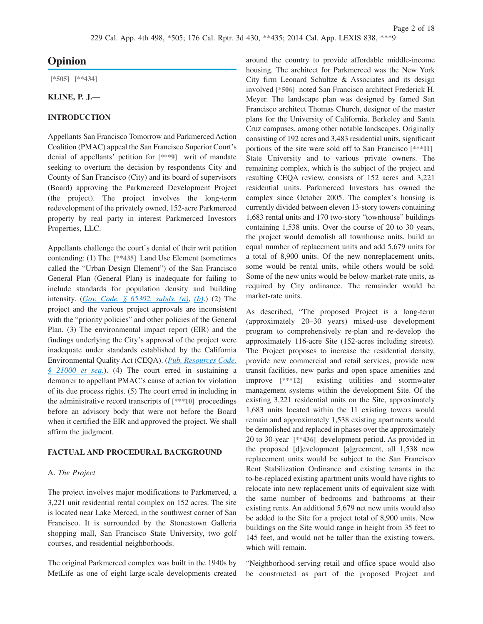# **Opinion**

**[\*505] [\*\*434]**

#### **KLINE, P. J.**—

### **INTRODUCTION**

Appellants San Francisco Tomorrow and Parkmerced Action Coalition (PMAC) appeal the San Francisco Superior Court's denial of appellants' petition for **[\*\*\*9]** writ of mandate seeking to overturn the decision by respondents City and County of San Francisco (City) and its board of supervisors (Board) approving the Parkmerced Development Project (the project). The project involves the long-term redevelopment of the privately owned, 152-acre Parkmerced property by real party in interest Parkmerced Investors Properties, LLC.

Appellants challenge the court's denial of their writ petition contending: (1) The **[\*\*435]** Land Use Element (sometimes called the "Urban Design Element") of the San Francisco General Plan (General Plan) is inadequate for failing to include standards for population density and building intensity. (*[Gov. Code, § 65302, subds. \(a\)](http://advance.lexis.com/api/document?collection=statutes-legislation&id=urn:contentItem:4WN7-XNT0-R03J-V1B9-00000-00&context=1000516)*, *[\(b\)](http://advance.lexis.com/api/document?collection=statutes-legislation&id=urn:contentItem:4WN7-XNT0-R03J-V1B9-00000-00&context=1000516)*.) (2) The project and the various project approvals are inconsistent with the "priority policies" and other policies of the General Plan. (3) The environmental impact report (EIR) and the findings underlying the City's approval of the project were inadequate under standards established by the California Environmental Quality Act (CEQA). (*[Pub. Resources Code,](http://advance.lexis.com/api/document?collection=statutes-legislation&id=urn:contentItem:4WN4-1BN0-R03K-G176-00000-00&context=1000516) [§ 21000 et seq.](http://advance.lexis.com/api/document?collection=statutes-legislation&id=urn:contentItem:4WN4-1BN0-R03K-G176-00000-00&context=1000516)*). (4) The court erred in sustaining a demurrer to appellant PMAC's cause of action for violation of its due process rights. (5) The court erred in including in the administrative record transcripts of **[\*\*\*10]** proceedings before an advisory body that were not before the Board when it certified the EIR and approved the project. We shall affirm the judgment.

### **FACTUAL AND PROCEDURAL BACKGROUND**

#### A. *The Project*

The project involves major modifications to Parkmerced, a 3,221 unit residential rental complex on 152 acres. The site is located near Lake Merced, in the southwest corner of San Francisco. It is surrounded by the Stonestown Galleria shopping mall, San Francisco State University, two golf courses, and residential neighborhoods.

The original Parkmerced complex was built in the 1940s by MetLife as one of eight large-scale developments created around the country to provide affordable middle-income housing. The architect for Parkmerced was the New York City firm Leonard Schultze & Associates and its design involved **[\*506]** noted San Francisco architect Frederick H. Meyer. The landscape plan was designed by famed San Francisco architect Thomas Church, designer of the master plans for the University of California, Berkeley and Santa Cruz campuses, among other notable landscapes. Originally consisting of 192 acres and 3,483 residential units, significant portions of the site were sold off to San Francisco **[\*\*\*11]** State University and to various private owners. The remaining complex, which is the subject of the project and resulting CEQA review, consists of 152 acres and 3,221 residential units. Parkmerced Investors has owned the complex since October 2005. The complex's housing is currently divided between eleven 13-story towers containing 1,683 rental units and 170 two-story "townhouse" buildings containing 1,538 units. Over the course of 20 to 30 years, the project would demolish all townhouse units, build an equal number of replacement units and add 5,679 units for a total of 8,900 units. Of the new nonreplacement units, some would be rental units, while others would be sold. Some of the new units would be below-market-rate units, as required by City ordinance. The remainder would be market-rate units.

As described, "The proposed Project is a long-term (approximately 20–30 years) mixed-use development program to comprehensively re-plan and re-develop the approximately 116-acre Site (152-acres including streets). The Project proposes to increase the residential density, provide new commercial and retail services, provide new transit facilities, new parks and open space amenities and improve **[\*\*\*12]** existing utilities and stormwater management systems within the development Site. Of the existing 3,221 residential units on the Site, approximately 1,683 units located within the 11 existing towers would remain and approximately 1,538 existing apartments would be demolished and replaced in phases over the approximately 20 to 30-year **[\*\*436]** development period. As provided in the proposed [d]evelopment [a]greement, all 1,538 new replacement units would be subject to the San Francisco Rent Stabilization Ordinance and existing tenants in the to-be-replaced existing apartment units would have rights to relocate into new replacement units of equivalent size with the same number of bedrooms and bathrooms at their existing rents. An additional 5,679 net new units would also be added to the Site for a project total of 8,900 units. New buildings on the Site would range in height from 35 feet to 145 feet, and would not be taller than the existing towers, which will remain.

"Neighborhood-serving retail and office space would also be constructed as part of the proposed Project and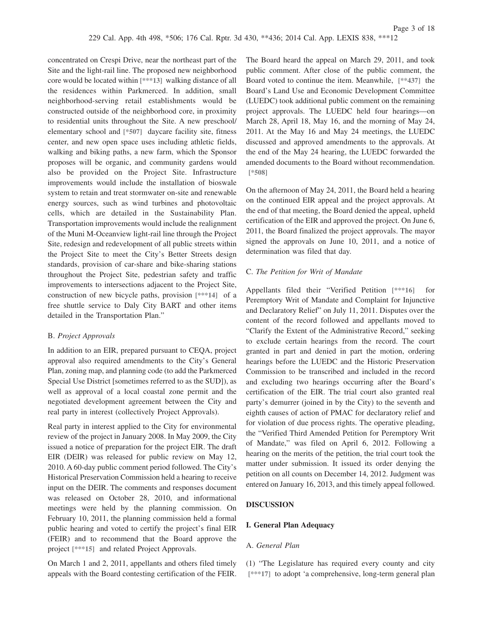concentrated on Crespi Drive, near the northeast part of the Site and the light-rail line. The proposed new neighborhood core would be located within **[\*\*\*13]** walking distance of all the residences within Parkmerced. In addition, small neighborhood-serving retail establishments would be constructed outside of the neighborhood core, in proximity to residential units throughout the Site. A new preschool/ elementary school and **[\*507]** daycare facility site, fitness center, and new open space uses including athletic fields, walking and biking paths, a new farm, which the Sponsor proposes will be organic, and community gardens would also be provided on the Project Site. Infrastructure improvements would include the installation of bioswale system to retain and treat stormwater on-site and renewable energy sources, such as wind turbines and photovoltaic cells, which are detailed in the Sustainability Plan. Transportation improvements would include the realignment of the Muni M-Oceanview light-rail line through the Project Site, redesign and redevelopment of all public streets within the Project Site to meet the City's Better Streets design standards, provision of car-share and bike-sharing stations throughout the Project Site, pedestrian safety and traffic improvements to intersections adjacent to the Project Site, construction of new bicycle paths, provision **[\*\*\*14]** of a free shuttle service to Daly City BART and other items detailed in the Transportation Plan."

### B. *Project Approvals*

In addition to an EIR, prepared pursuant to CEQA, project approval also required amendments to the City's General Plan, zoning map, and planning code (to add the Parkmerced Special Use District [sometimes referred to as the SUD]), as well as approval of a local coastal zone permit and the negotiated development agreement between the City and real party in interest (collectively Project Approvals).

Real party in interest applied to the City for environmental review of the project in January 2008. In May 2009, the City issued a notice of preparation for the project EIR. The draft EIR (DEIR) was released for public review on May 12, 2010. A 60-day public comment period followed. The City's Historical Preservation Commission held a hearing to receive input on the DEIR. The comments and responses document was released on October 28, 2010, and informational meetings were held by the planning commission. On February 10, 2011, the planning commission held a formal public hearing and voted to certify the project's final EIR (FEIR) and to recommend that the Board approve the project **[\*\*\*15]** and related Project Approvals.

On March 1 and 2, 2011, appellants and others filed timely appeals with the Board contesting certification of the FEIR.

The Board heard the appeal on March 29, 2011, and took public comment. After close of the public comment, the Board voted to continue the item. Meanwhile, **[\*\*437]** the Board's Land Use and Economic Development Committee (LUEDC) took additional public comment on the remaining project approvals. The LUEDC held four hearings—on March 28, April 18, May 16, and the morning of May 24, 2011. At the May 16 and May 24 meetings, the LUEDC discussed and approved amendments to the approvals. At the end of the May 24 hearing, the LUEDC forwarded the amended documents to the Board without recommendation. **[\*508]**

On the afternoon of May 24, 2011, the Board held a hearing on the continued EIR appeal and the project approvals. At the end of that meeting, the Board denied the appeal, upheld certification of the EIR and approved the project. On June 6, 2011, the Board finalized the project approvals. The mayor signed the approvals on June 10, 2011, and a notice of determination was filed that day.

## C. *The Petition for Writ of Mandate*

Appellants filed their "Verified Petition **[\*\*\*16]** for Peremptory Writ of Mandate and Complaint for Injunctive and Declaratory Relief" on July 11, 2011. Disputes over the content of the record followed and appellants moved to "Clarify the Extent of the Administrative Record," seeking to exclude certain hearings from the record. The court granted in part and denied in part the motion, ordering hearings before the LUEDC and the Historic Preservation Commission to be transcribed and included in the record and excluding two hearings occurring after the Board's certification of the EIR. The trial court also granted real party's demurrer (joined in by the City) to the seventh and eighth causes of action of PMAC for declaratory relief and for violation of due process rights. The operative pleading, the "Verified Third Amended Petition for Peremptory Writ of Mandate," was filed on April 6, 2012. Following a hearing on the merits of the petition, the trial court took the matter under submission. It issued its order denying the petition on all counts on December 14, 2012. Judgment was entered on January 16, 2013, and this timely appeal followed.

### **DISCUSSION**

### **I. General Plan Adequacy**

### A. *General Plan*

(1) "The Legislature has required every county and city **[\*\*\*17]** to adopt 'a comprehensive, long-term general plan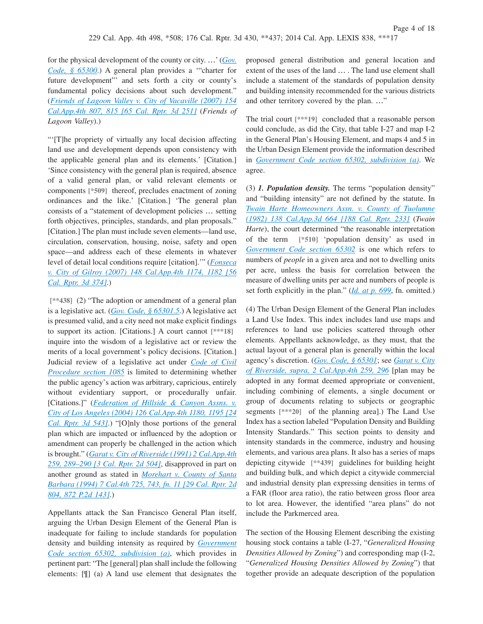for the physical development of the county or city. …' (*[Gov.](http://advance.lexis.com/api/document?collection=statutes-legislation&id=urn:contentItem:4WN7-XNT0-R03J-V1B2-00000-00&context=1000516) [Code, § 65300](http://advance.lexis.com/api/document?collection=statutes-legislation&id=urn:contentItem:4WN7-XNT0-R03J-V1B2-00000-00&context=1000516)*.) A general plan provides a '"charter for future development"' and sets forth a city or county's fundamental policy decisions about such development." (*[Friends of Lagoon Valley v. City of Vacaville \(2007\) 154](http://advance.lexis.com/api/document?collection=cases&id=urn:contentItem:4PJ2-63S0-TXFN-734W-00000-00&context=1000516) [Cal.App.4th 807, 815 \[65 Cal. Rptr. 3d 251\]](http://advance.lexis.com/api/document?collection=cases&id=urn:contentItem:4PJ2-63S0-TXFN-734W-00000-00&context=1000516)* (*Friends of Lagoon Valley*).)

"'[T]he propriety of virtually any local decision affecting land use and development depends upon consistency with the applicable general plan and its elements.' [Citation.] 'Since consistency with the general plan is required, absence of a valid general plan, or valid relevant elements or components **[\*509]** thereof, precludes enactment of zoning ordinances and the like.' [Citation.] 'The general plan consists of a "statement of development policies … setting forth objectives, principles, standards, and plan proposals." [Citation.] The plan must include seven elements—land use, circulation, conservation, housing, noise, safety and open space—and address each of these elements in whatever level of detail local conditions require [citation].'" (*[Fonseca](http://advance.lexis.com/api/document?collection=cases&id=urn:contentItem:4NB4-X6D0-0039-40YH-00000-00&context=1000516) [v. City of Gilroy \(2007\) 148 Cal.App.4th 1174, 1182 \[56](http://advance.lexis.com/api/document?collection=cases&id=urn:contentItem:4NB4-X6D0-0039-40YH-00000-00&context=1000516) [Cal. Rptr. 3d 374\]](http://advance.lexis.com/api/document?collection=cases&id=urn:contentItem:4NB4-X6D0-0039-40YH-00000-00&context=1000516)*.)

**[\*\*438]** (2) "The adoption or amendment of a general plan is a legislative act. (*[Gov. Code, § 65301.5](http://advance.lexis.com/api/document?collection=statutes-legislation&id=urn:contentItem:4WN7-XNT0-R03J-V1B8-00000-00&context=1000516)*.) A legislative act is presumed valid, and a city need not make explicit findings to support its action. [Citations.] A court cannot **[\*\*\*18]** inquire into the wisdom of a legislative act or review the merits of a local government's policy decisions. [Citation.] Judicial review of a legislative act under *[Code of Civil](http://advance.lexis.com/api/document?collection=statutes-legislation&id=urn:contentItem:4WK3-PB00-R03K-B0K0-00000-00&context=1000516) [Procedure section 1085](http://advance.lexis.com/api/document?collection=statutes-legislation&id=urn:contentItem:4WK3-PB00-R03K-B0K0-00000-00&context=1000516)* is limited to determining whether the public agency's action was arbitrary, capricious, entirely without evidentiary support, or procedurally unfair. [Citations.]" (*[Federation of Hillside & Canyon Assns. v.](http://advance.lexis.com/api/document?collection=cases&id=urn:contentItem:4FH1-6SV0-0039-43KM-00000-00&context=1000516) [City of Los Angeles \(2004\) 126 Cal.App.4th 1180, 1195 \[24](http://advance.lexis.com/api/document?collection=cases&id=urn:contentItem:4FH1-6SV0-0039-43KM-00000-00&context=1000516) [Cal. Rptr. 3d 543\]](http://advance.lexis.com/api/document?collection=cases&id=urn:contentItem:4FH1-6SV0-0039-43KM-00000-00&context=1000516)*.) "[O]nly those portions of the general plan which are impacted or influenced by the adoption or amendment can properly be challenged in the action which is brought." (*[Garat v. City of Riverside \(1991\) 2 Cal.App.4th](http://advance.lexis.com/api/document?collection=cases&id=urn:contentItem:3RX6-H320-003D-J4XS-00000-00&context=1000516) [259, 289–290 \[3 Cal. Rptr. 2d 504\]](http://advance.lexis.com/api/document?collection=cases&id=urn:contentItem:3RX6-H320-003D-J4XS-00000-00&context=1000516)*, disapproved in part on another ground as stated in *[Morehart v. County of Santa](http://advance.lexis.com/api/document?collection=cases&id=urn:contentItem:3RX4-29C0-003D-J141-00000-00&context=1000516) [Barbara \(1994\) 7 Cal.4th 725, 743, fn. 11 \[29 Cal. Rptr. 2d](http://advance.lexis.com/api/document?collection=cases&id=urn:contentItem:3RX4-29C0-003D-J141-00000-00&context=1000516) [804, 872 P.2d 143\]](http://advance.lexis.com/api/document?collection=cases&id=urn:contentItem:3RX4-29C0-003D-J141-00000-00&context=1000516)*.)

Appellants attack the San Francisco General Plan itself, arguing the Urban Design Element of the General Plan is inadequate for failing to include standards for population density and building intensity as required by *[Government](http://advance.lexis.com/api/document?collection=statutes-legislation&id=urn:contentItem:4WN7-XNT0-R03J-V1B9-00000-00&context=1000516) [Code section 65302, subdivision \(a\)](http://advance.lexis.com/api/document?collection=statutes-legislation&id=urn:contentItem:4WN7-XNT0-R03J-V1B9-00000-00&context=1000516)*, which provides in pertinent part: "The [general] plan shall include the following elements: [¶] (a) A land use element that designates the

proposed general distribution and general location and extent of the uses of the land … . The land use element shall include a statement of the standards of population density and building intensity recommended for the various districts and other territory covered by the plan. …"

The trial court **[\*\*\*19]** concluded that a reasonable person could conclude, as did the City, that table I-27 and map I-2 in the General Plan's Housing Element, and maps 4 and 5 in the Urban Design Element provide the information described in *[Government Code section 65302, subdivision \(a\)](http://advance.lexis.com/api/document?collection=statutes-legislation&id=urn:contentItem:4WN7-XNT0-R03J-V1B9-00000-00&context=1000516)*. We agree.

(3) *1. Population density.* The terms "population density" and "building intensity" are not defined by the statute. In *[Twain Harte Homeowners Assn. v. County of Tuolumne](http://advance.lexis.com/api/document?collection=cases&id=urn:contentItem:3RX6-MD30-003D-J43H-00000-00&context=1000516) [\(1982\) 138 Cal.App.3d 664 \[188 Cal. Rptr. 233\]](http://advance.lexis.com/api/document?collection=cases&id=urn:contentItem:3RX6-MD30-003D-J43H-00000-00&context=1000516)* (*Twain Harte*), the court determined "the reasonable interpretation of the term **[\*510]** 'population density' as used in *[Government Code section 65302](http://advance.lexis.com/api/document?collection=statutes-legislation&id=urn:contentItem:4WN7-XNT0-R03J-V1B9-00000-00&context=1000516)* is one which refers to numbers of *people* in a given area and not to dwelling units per acre, unless the basis for correlation between the measure of dwelling units per acre and numbers of people is set forth explicitly in the plan." (*[Id. at p. 699](http://advance.lexis.com/api/document?collection=cases&id=urn:contentItem:3RX6-MD30-003D-J43H-00000-00&context=1000516)*, fn. omitted.)

(4) The Urban Design Element of the General Plan includes a Land Use Index. This index includes land use maps and references to land use policies scattered through other elements. Appellants acknowledge, as they must, that the actual layout of a general plan is generally within the local agency's discretion. (*[Gov. Code, § 65301](http://advance.lexis.com/api/document?collection=statutes-legislation&id=urn:contentItem:4WN7-XNT0-R03J-V1B7-00000-00&context=1000516)*; see *[Garat v. City](http://advance.lexis.com/api/document?collection=cases&id=urn:contentItem:3RX6-H320-003D-J4XS-00000-00&context=1000516) [of Riverside, supra, 2 Cal.App.4th 259, 296](http://advance.lexis.com/api/document?collection=cases&id=urn:contentItem:3RX6-H320-003D-J4XS-00000-00&context=1000516)* [plan may be adopted in any format deemed appropriate or convenient, including combining of elements, a single document or group of documents relating to subjects or geographic segments **[\*\*\*20]** of the planning area].) The Land Use Index has a section labeled "Population Density and Building Intensity Standards." This section points to density and intensity standards in the commerce, industry and housing elements, and various area plans. It also has a series of maps depicting citywide **[\*\*439]** guidelines for building height and building bulk, and which depict a citywide commercial and industrial density plan expressing densities in terms of a FAR (floor area ratio), the ratio between gross floor area to lot area. However, the identified "area plans" do not include the Parkmerced area.

The section of the Housing Element describing the existing housing stock contains a table (I-27, "*Generalized Housing Densities Allowed by Zoning*") and corresponding map (I-2, "*Generalized Housing Densities Allowed by Zoning*") that together provide an adequate description of the population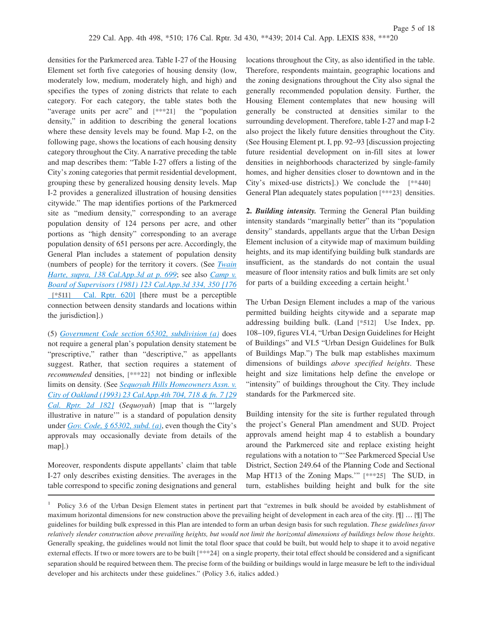densities for the Parkmerced area. Table I-27 of the Housing Element set forth five categories of housing density (low, moderately low, medium, moderately high, and high) and specifies the types of zoning districts that relate to each category. For each category, the table states both the "average units per acre" and **[\*\*\*21]** the "population density," in addition to describing the general locations where these density levels may be found. Map I-2, on the following page, shows the locations of each housing density category throughout the City. A narrative preceding the table and map describes them: "Table I-27 offers a listing of the City's zoning categories that permit residential development, grouping these by generalized housing density levels. Map I-2 provides a generalized illustration of housing densities citywide." The map identifies portions of the Parkmerced site as "medium density," corresponding to an average population density of 124 persons per acre, and other portions as "high density" corresponding to an average population density of 651 persons per acre. Accordingly, the General Plan includes a statement of population density (numbers of people) for the territory it covers. (See *[Twain](http://advance.lexis.com/api/document?collection=cases&id=urn:contentItem:3RX6-MD30-003D-J43H-00000-00&context=1000516) [Harte, supra, 138 Cal.App.3d at p. 699](http://advance.lexis.com/api/document?collection=cases&id=urn:contentItem:3RX6-MD30-003D-J43H-00000-00&context=1000516)*; see also *[Camp v.](http://advance.lexis.com/api/document?collection=cases&id=urn:contentItem:3S11-SDM0-003C-R2JR-00000-00&context=1000516) [Board of Supervisors \(1981\) 123 Cal.App.3d 334, 350 \[176](http://advance.lexis.com/api/document?collection=cases&id=urn:contentItem:3S11-SDM0-003C-R2JR-00000-00&context=1000516)* **[\*511]** [Cal. Rptr. 620\]](http://advance.lexis.com/api/document?collection=cases&id=urn:contentItem:3S11-SDM0-003C-R2JR-00000-00&context=1000516) [there must be a perceptible connection between density standards and locations within the jurisdiction].)

(5) *[Government Code section 65302, subdivision \(a\)](http://advance.lexis.com/api/document?collection=statutes-legislation&id=urn:contentItem:4WN7-XNT0-R03J-V1B9-00000-00&context=1000516)* does not require a general plan's population density statement be "prescriptive," rather than "descriptive," as appellants suggest. Rather, that section requires a statement of *recommended* densities, **[\*\*\*22]** not binding or inflexible limits on density. (See *[Sequoyah Hills Homeowners Assn. v.](http://advance.lexis.com/api/document?collection=cases&id=urn:contentItem:3RX6-G9H0-003D-J1RC-00000-00&context=1000516) [City of Oakland \(1993\) 23 Cal.App.4th 704, 718 & fn. 7 \[29](http://advance.lexis.com/api/document?collection=cases&id=urn:contentItem:3RX6-G9H0-003D-J1RC-00000-00&context=1000516) [Cal. Rptr. 2d 182\]](http://advance.lexis.com/api/document?collection=cases&id=urn:contentItem:3RX6-G9H0-003D-J1RC-00000-00&context=1000516)* (*Sequoyah*) [map that is "'largely illustrative in nature'" is a standard of population density under *[Gov. Code, § 65302, subd. \(a\)](http://advance.lexis.com/api/document?collection=statutes-legislation&id=urn:contentItem:4WN7-XNT0-R03J-V1B9-00000-00&context=1000516)*, even though the City's approvals may occasionally deviate from details of the map].)

Moreover, respondents dispute appellants' claim that table I-27 only describes existing densities. The averages in the table correspond to specific zoning designations and general locations throughout the City, as also identified in the table. Therefore, respondents maintain, geographic locations and the zoning designations throughout the City also signal the generally recommended population density. Further, the Housing Element contemplates that new housing will generally be constructed at densities similar to the surrounding development. Therefore, table I-27 and map I-2 also project the likely future densities throughout the City. (See Housing Element pt. I, pp. 92–93 [discussion projecting future residential development on in-fill sites at lower densities in neighborhoods characterized by single-family homes, and higher densities closer to downtown and in the City's mixed-use districts].) We conclude the **[\*\*440]** General Plan adequately states population **[\*\*\*23]** densities.

**2.** *Building intensity.* Terming the General Plan building intensity standards "marginally better" than its "population density" standards, appellants argue that the Urban Design Element inclusion of a citywide map of maximum building heights, and its map identifying building bulk standards are insufficient, as the standards do not contain the usual measure of floor intensity ratios and bulk limits are set only for parts of a building exceeding a certain height.<sup>1</sup>

The Urban Design Element includes a map of the various permitted building heights citywide and a separate map addressing building bulk. (Land **[\*512]** Use Index, pp. 108–109, figures VI.4, "Urban Design Guidelines for Height of Buildings" and VI.5 "Urban Design Guidelines for Bulk of Buildings Map.") The bulk map establishes maximum dimensions of buildings *above specified heights*. These height and size limitations help define the envelope or "intensity" of buildings throughout the City. They include standards for the Parkmerced site.

Building intensity for the site is further regulated through the project's General Plan amendment and SUD. Project approvals amend height map 4 to establish a boundary around the Parkmerced site and replace existing height regulations with a notation to "'See Parkmerced Special Use District, Section 249.64 of the Planning Code and Sectional Map HT13 of the Zoning Maps.'" **[\*\*\*25]** The SUD, in turn, establishes building height and bulk for the site

<sup>1</sup> Policy 3.6 of the Urban Design Element states in pertinent part that "extremes in bulk should be avoided by establishment of maximum horizontal dimensions for new construction above the prevailing height of development in each area of the city. [¶] … [¶] The guidelines for building bulk expressed in this Plan are intended to form an urban design basis for such regulation. *These guidelines favor relatively slender construction above prevailing heights, but would not limit the horizontal dimensions of buildings below those heights*. Generally speaking, the guidelines would not limit the total floor space that could be built, but would help to shape it to avoid negative external effects. If two or more towers are to be built **[\*\*\*24]** on a single property, their total effect should be considered and a significant separation should be required between them. The precise form of the building or buildings would in large measure be left to the individual developer and his architects under these guidelines." (Policy 3.6, italics added.)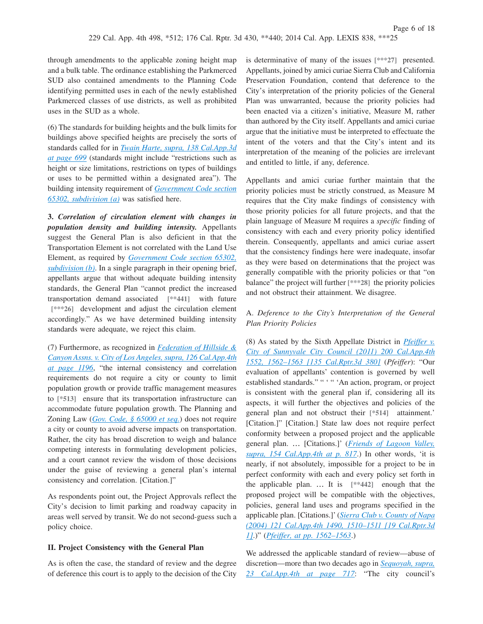through amendments to the applicable zoning height map and a bulk table. The ordinance establishing the Parkmerced SUD also contained amendments to the Planning Code identifying permitted uses in each of the newly established Parkmerced classes of use districts, as well as prohibited uses in the SUD as a whole.

(6) The standards for building heights and the bulk limits for buildings above specified heights are precisely the sorts of standards called for in *[Twain Harte, supra, 138 Cal.App.3d](http://advance.lexis.com/api/document?collection=cases&id=urn:contentItem:3RX6-MD30-003D-J43H-00000-00&context=1000516) [at page 699](http://advance.lexis.com/api/document?collection=cases&id=urn:contentItem:3RX6-MD30-003D-J43H-00000-00&context=1000516)* (standards might include "restrictions such as height or size limitations, restrictions on types of buildings or uses to be permitted within a designated area"). The building intensity requirement of *[Government Code section](http://advance.lexis.com/api/document?collection=statutes-legislation&id=urn:contentItem:4WN7-XNT0-R03J-V1B9-00000-00&context=1000516) [65302, subdivision \(a\)](http://advance.lexis.com/api/document?collection=statutes-legislation&id=urn:contentItem:4WN7-XNT0-R03J-V1B9-00000-00&context=1000516)* was satisfied here.

**3.** *Correlation of circulation element with changes in population density and building intensity.* Appellants suggest the General Plan is also deficient in that the Transportation Element is not correlated with the Land Use Element, as required by *[Government Code section 65302,](http://advance.lexis.com/api/document?collection=statutes-legislation&id=urn:contentItem:4WN7-XNT0-R03J-V1B9-00000-00&context=1000516) [subdivision \(b\)](http://advance.lexis.com/api/document?collection=statutes-legislation&id=urn:contentItem:4WN7-XNT0-R03J-V1B9-00000-00&context=1000516)*. In a single paragraph in their opening brief, appellants argue that without adequate building intensity standards, the General Plan "cannot predict the increased transportation demand associated **[\*\*441]** with future **[\*\*\*26]** development and adjust the circulation element accordingly." As we have determined building intensity standards were adequate, we reject this claim.

(7) Furthermore, as recognized in *[Federation of Hillside &](http://advance.lexis.com/api/document?collection=cases&id=urn:contentItem:4FH1-6SV0-0039-43KM-00000-00&context=1000516) [Canyon Assns. v. City of Los Angeles, supra, 126 Cal.App.4th](http://advance.lexis.com/api/document?collection=cases&id=urn:contentItem:4FH1-6SV0-0039-43KM-00000-00&context=1000516) [at page 1196](http://advance.lexis.com/api/document?collection=cases&id=urn:contentItem:4FH1-6SV0-0039-43KM-00000-00&context=1000516)*, "the internal consistency and correlation requirements do not require a city or county to limit population growth or provide traffic management measures to **[\*513]** ensure that its transportation infrastructure can accommodate future population growth. The Planning and Zoning Law (*[Gov. Code, § 65000 et seq.](http://advance.lexis.com/api/document?collection=statutes-legislation&id=urn:contentItem:4WN7-X0P0-R03K-N0TP-00000-00&context=1000516)*) does not require a city or county to avoid adverse impacts on transportation. Rather, the city has broad discretion to weigh and balance competing interests in formulating development policies, and a court cannot review the wisdom of those decisions under the guise of reviewing a general plan's internal consistency and correlation. [Citation.]"

As respondents point out, the Project Approvals reflect the City's decision to limit parking and roadway capacity in areas well served by transit. We do not second-guess such a policy choice.

### **II. Project Consistency with the General Plan**

As is often the case, the standard of review and the degree of deference this court is to apply to the decision of the City

is determinative of many of the issues **[\*\*\*27]** presented. Appellants, joined by amici curiae Sierra Club and California Preservation Foundation, contend that deference to the City's interpretation of the priority policies of the General Plan was unwarranted, because the priority policies had been enacted via a citizen's initiative, Measure M, rather than authored by the City itself. Appellants and amici curiae argue that the initiative must be interpreted to effectuate the intent of the voters and that the City's intent and its interpretation of the meaning of the policies are irrelevant and entitled to little, if any, deference.

Appellants and amici curiae further maintain that the priority policies must be strictly construed, as Measure M requires that the City make findings of consistency with those priority policies for all future projects, and that the plain language of Measure M requires a *specific* finding of consistency with each and every priority policy identified therein. Consequently, appellants and amici curiae assert that the consistency findings here were inadequate, insofar as they were based on determinations that the project was generally compatible with the priority policies or that "on balance" the project will further **[\*\*\*28]** the priority policies and not obstruct their attainment. We disagree.

# A. *Deference to the City's Interpretation of the General Plan Priority Policies*

(8) As stated by the Sixth Appellate District in *[Pfeiffer v.](http://advance.lexis.com/api/document?collection=cases&id=urn:contentItem:549R-8D51-F04B-N019-00000-00&context=1000516) [City of Sunnyvale City Council \(2011\) 200 Cal.App.4th](http://advance.lexis.com/api/document?collection=cases&id=urn:contentItem:549R-8D51-F04B-N019-00000-00&context=1000516) [1552, 1562–1563 \[135 Cal.Rptr.3d 380\]](http://advance.lexis.com/api/document?collection=cases&id=urn:contentItem:549R-8D51-F04B-N019-00000-00&context=1000516)* (*Pfeiffer*): "Our evaluation of appellants' contention is governed by well established standards." " " " An action, program, or project is consistent with the general plan if, considering all its aspects, it will further the objectives and policies of the general plan and not obstruct their **[\*514]** attainment.' [Citation.]" [Citation.] State law does not require perfect conformity between a proposed project and the applicable general plan. … [Citations.]' (*[Friends of Lagoon Valley,](http://advance.lexis.com/api/document?collection=cases&id=urn:contentItem:4PJ2-63S0-TXFN-734W-00000-00&context=1000516) [supra, 154 Cal.App.4th at p. 817](http://advance.lexis.com/api/document?collection=cases&id=urn:contentItem:4PJ2-63S0-TXFN-734W-00000-00&context=1000516)*.) In other words, 'it is nearly, if not absolutely, impossible for a project to be in perfect conformity with each and every policy set forth in the applicable plan. … It is **[\*\*442]** enough that the proposed project will be compatible with the objectives, policies, general land uses and programs specified in the applicable plan. [Citations.]' (*[Sierra Club v. County of Napa](http://advance.lexis.com/api/document?collection=cases&id=urn:contentItem:4D7D-2Y10-0039-444F-00000-00&context=1000516) [\(2004\) 121 Cal.App.4th 1490, 1510–1511 \[19 Cal.Rptr.3d](http://advance.lexis.com/api/document?collection=cases&id=urn:contentItem:4D7D-2Y10-0039-444F-00000-00&context=1000516) [1\]](http://advance.lexis.com/api/document?collection=cases&id=urn:contentItem:4D7D-2Y10-0039-444F-00000-00&context=1000516)*.)" (*[Pfeiffer, at pp. 1562–1563](http://advance.lexis.com/api/document?collection=cases&id=urn:contentItem:549R-8D51-F04B-N019-00000-00&context=1000516)*.)

We addressed the applicable standard of review—abuse of discretion—more than two decades ago in *[Sequoyah, supra,](http://advance.lexis.com/api/document?collection=cases&id=urn:contentItem:3RX6-G9H0-003D-J1RC-00000-00&context=1000516) [23 Cal.App.4th at page 717](http://advance.lexis.com/api/document?collection=cases&id=urn:contentItem:3RX6-G9H0-003D-J1RC-00000-00&context=1000516)*: "The city council's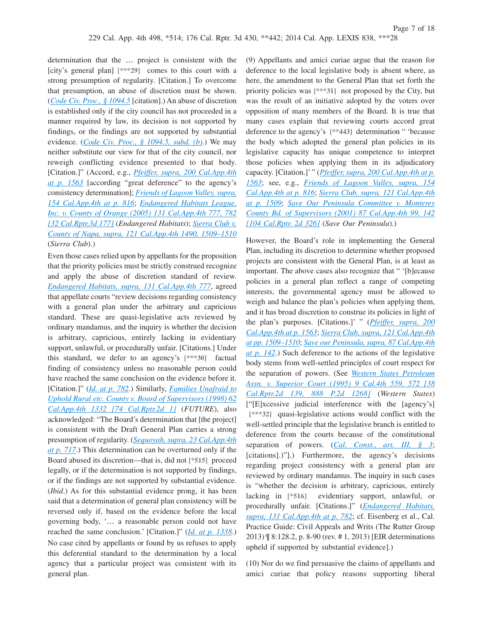determination that the … project is consistent with the [city's general plan] **[\*\*\*29]** comes to this court with a strong presumption of regularity. [Citation.] To overcome that presumption, an abuse of discretion must be shown. (*[Code Civ. Proc., § 1094.5](http://advance.lexis.com/api/document?collection=statutes-legislation&id=urn:contentItem:4WK3-PB00-R03K-B0KF-00000-00&context=1000516)* [citation].) An abuse of discretion is established only if the city council has not proceeded in a manner required by law, its decision is not supported by findings, or the findings are not supported by substantial evidence. (*[Code Civ. Proc., § 1094.5, subd. \(b\)](http://advance.lexis.com/api/document?collection=statutes-legislation&id=urn:contentItem:4WK3-PB00-R03K-B0KF-00000-00&context=1000516)*.) We may neither substitute our view for that of the city council, nor reweigh conflicting evidence presented to that body. [Citation.]" (Accord, e.g., *[Pfeiffer, supra, 200 Cal.App.4th](http://advance.lexis.com/api/document?collection=cases&id=urn:contentItem:549R-8D51-F04B-N019-00000-00&context=1000516) [at p. 1563](http://advance.lexis.com/api/document?collection=cases&id=urn:contentItem:549R-8D51-F04B-N019-00000-00&context=1000516)* [according "great deference" to the agency's consistency determination]; *[Friends of Lagoon Valley, supra,](http://advance.lexis.com/api/document?collection=cases&id=urn:contentItem:4PJ2-63S0-TXFN-734W-00000-00&context=1000516) [154 Cal.App.4th at p. 816](http://advance.lexis.com/api/document?collection=cases&id=urn:contentItem:4PJ2-63S0-TXFN-734W-00000-00&context=1000516)*; *[Endangered Habitats League,](http://advance.lexis.com/api/document?collection=cases&id=urn:contentItem:4GRS-FF00-0039-44CJ-00000-00&context=1000516) [Inc. v. County of Orange \(2005\) 131 Cal.App.4th 777, 782](http://advance.lexis.com/api/document?collection=cases&id=urn:contentItem:4GRS-FF00-0039-44CJ-00000-00&context=1000516) [\[32 Cal.Rptr.3d 177\]](http://advance.lexis.com/api/document?collection=cases&id=urn:contentItem:4GRS-FF00-0039-44CJ-00000-00&context=1000516)* (*Endangered Habitats*); *[Sierra Club v.](http://advance.lexis.com/api/document?collection=cases&id=urn:contentItem:4D7D-2Y10-0039-444F-00000-00&context=1000516) [County of Napa, supra, 121 Cal.App.4th 1490, 1509–1510](http://advance.lexis.com/api/document?collection=cases&id=urn:contentItem:4D7D-2Y10-0039-444F-00000-00&context=1000516)* (*Sierra Club*).)

Even those cases relied upon by appellants for the proposition that the priority policies must be strictly construed recognize and apply the abuse of discretion standard of review. *[Endangered Habitats, supra, 131 Cal.App.4th 777](http://advance.lexis.com/api/document?collection=cases&id=urn:contentItem:4GRS-FF00-0039-44CJ-00000-00&context=1000516)*, agreed that appellate courts "review decisions regarding consistency with a general plan under the arbitrary and capricious standard. These are quasi-legislative acts reviewed by ordinary mandamus, and the inquiry is whether the decision is arbitrary, capricious, entirely lacking in evidentiary support, unlawful, or procedurally unfair. [Citations.] Under this standard, we defer to an agency's **[\*\*\*30]** factual finding of consistency unless no reasonable person could have reached the same conclusion on the evidence before it. [Citation.]" (*[Id. at p. 782](http://advance.lexis.com/api/document?collection=cases&id=urn:contentItem:4GRS-FF00-0039-44CJ-00000-00&context=1000516)*.) Similarly, *[Families Unafraid to](http://advance.lexis.com/api/document?collection=cases&id=urn:contentItem:3SDT-85R0-0039-40YN-00000-00&context=1000516) [Uphold Rural etc. County v. Board of Supervisors \(1998\) 62](http://advance.lexis.com/api/document?collection=cases&id=urn:contentItem:3SDT-85R0-0039-40YN-00000-00&context=1000516) [Cal.App.4th 1332 \[74 Cal.Rptr.2d 1\]](http://advance.lexis.com/api/document?collection=cases&id=urn:contentItem:3SDT-85R0-0039-40YN-00000-00&context=1000516)* (*FUTURE*), also acknowledged: "The Board's determination that [the project] is consistent with the Draft General Plan carries a strong presumption of regularity. (*[Sequoyah, supra, 23 Cal.App.4th](http://advance.lexis.com/api/document?collection=cases&id=urn:contentItem:3RX6-G9H0-003D-J1RC-00000-00&context=1000516) [at p. 717](http://advance.lexis.com/api/document?collection=cases&id=urn:contentItem:3RX6-G9H0-003D-J1RC-00000-00&context=1000516)*.) This determination can be overturned only if the Board abused its discretion—that is, did not **[\*515]** proceed legally, or if the determination is not supported by findings, or if the findings are not supported by substantial evidence. (*Ibid*.) As for this substantial evidence prong, it has been said that a determination of general plan consistency will be reversed only if, based on the evidence before the local governing body, '… a reasonable person could not have reached the same conclusion.' [Citation.]" (*[Id. at p. 1338](http://advance.lexis.com/api/document?collection=cases&id=urn:contentItem:3SDT-85R0-0039-40YN-00000-00&context=1000516)*.) No case cited by appellants or found by us refuses to apply this deferential standard to the determination by a local agency that a particular project was consistent with its general plan.

(9) Appellants and amici curiae argue that the reason for deference to the local legislative body is absent where, as here, the amendment to the General Plan that set forth the priority policies was **[\*\*\*31]** not proposed by the City, but was the result of an initiative adopted by the voters over opposition of many members of the Board. It is true that many cases explain that reviewing courts accord great deference to the agency's **[\*\*443]** determination " 'because the body which adopted the general plan policies in its legislative capacity has unique competence to interpret those policies when applying them in its adjudicatory capacity. [Citation.]' " (*[Pfeiffer, supra, 200 Cal.App.4th at p.](http://advance.lexis.com/api/document?collection=cases&id=urn:contentItem:549R-8D51-F04B-N019-00000-00&context=1000516) [1563](http://advance.lexis.com/api/document?collection=cases&id=urn:contentItem:549R-8D51-F04B-N019-00000-00&context=1000516)*; see, e.g., *[Friends of Lagoon Valley, supra, 154](http://advance.lexis.com/api/document?collection=cases&id=urn:contentItem:4PJ2-63S0-TXFN-734W-00000-00&context=1000516) [Cal.App.4th at p. 816](http://advance.lexis.com/api/document?collection=cases&id=urn:contentItem:4PJ2-63S0-TXFN-734W-00000-00&context=1000516)*; *[Sierra Club, supra, 121 Cal.App.4th](http://advance.lexis.com/api/document?collection=cases&id=urn:contentItem:4D7D-2Y10-0039-444F-00000-00&context=1000516) [at p. 1509](http://advance.lexis.com/api/document?collection=cases&id=urn:contentItem:4D7D-2Y10-0039-444F-00000-00&context=1000516)*; *[Save Our Peninsula Committee v. Monterey](http://advance.lexis.com/api/document?collection=cases&id=urn:contentItem:42CD-35F0-0039-442J-00000-00&context=1000516) [County Bd. of Supervisors \(2001\) 87 Cal.App.4th 99, 142](http://advance.lexis.com/api/document?collection=cases&id=urn:contentItem:42CD-35F0-0039-442J-00000-00&context=1000516) [\[104 Cal.Rptr. 2d 326\]](http://advance.lexis.com/api/document?collection=cases&id=urn:contentItem:42CD-35F0-0039-442J-00000-00&context=1000516)* (*Save Our Peninsula*).)

Page 7 of 18

However, the Board's role in implementing the General Plan, including its discretion to determine whether proposed projects are consistent with the General Plan, is at least as important. The above cases also recognize that " '[b]ecause policies in a general plan reflect a range of competing interests, the governmental agency must be allowed to weigh and balance the plan's policies when applying them, and it has broad discretion to construe its policies in light of the plan's purposes. [Citations.]' " (*[Pfeiffer, supra, 200](http://advance.lexis.com/api/document?collection=cases&id=urn:contentItem:549R-8D51-F04B-N019-00000-00&context=1000516) [Cal.App.4th at p. 1563](http://advance.lexis.com/api/document?collection=cases&id=urn:contentItem:549R-8D51-F04B-N019-00000-00&context=1000516)*; *[Sierra Club, supra, 121 Cal.App.4th](http://advance.lexis.com/api/document?collection=cases&id=urn:contentItem:4D7D-2Y10-0039-444F-00000-00&context=1000516) [at pp. 1509–1510](http://advance.lexis.com/api/document?collection=cases&id=urn:contentItem:4D7D-2Y10-0039-444F-00000-00&context=1000516)*; *[Save our Peninsula, supra, 87 Cal.App.4th](http://advance.lexis.com/api/document?collection=cases&id=urn:contentItem:42CD-35F0-0039-442J-00000-00&context=1000516) [at p. 142](http://advance.lexis.com/api/document?collection=cases&id=urn:contentItem:42CD-35F0-0039-442J-00000-00&context=1000516)*.) Such deference to the actions of the legislative body stems from well-settled principles of court respect for the separation of powers. (See *[Western States Petroleum](http://advance.lexis.com/api/document?collection=cases&id=urn:contentItem:3RX4-1BT0-003D-J51B-00000-00&context=1000516) [Assn. v. Superior Court \(1995\) 9 Cal.4th 559, 572 \[38](http://advance.lexis.com/api/document?collection=cases&id=urn:contentItem:3RX4-1BT0-003D-J51B-00000-00&context=1000516) [Cal.Rptr.2d 139, 888 P.2d 1268\]](http://advance.lexis.com/api/document?collection=cases&id=urn:contentItem:3RX4-1BT0-003D-J51B-00000-00&context=1000516)* (*Western States*) ["[E]xcessive judicial interference with the [agency's] **[\*\*\*32]** quasi-legislative actions would conflict with the well-settled principle that the legislative branch is entitled to deference from the courts because of the constitutional separation of powers. (*[Cal. Const., art. III, § 3](http://advance.lexis.com/api/document?collection=statutes-legislation&id=urn:contentItem:4WN1-M9X0-R03M-B23S-00000-00&context=1000516)*; [citations].)"].) Furthermore, the agency's decisions regarding project consistency with a general plan are reviewed by ordinary mandamus. The inquiry in such cases is "whether the decision is arbitrary, capricious, entirely lacking in **[\*516]** evidentiary support, unlawful, or procedurally unfair. [Citations.]" (*[Endangered Habitats,](http://advance.lexis.com/api/document?collection=cases&id=urn:contentItem:4GRS-FF00-0039-44CJ-00000-00&context=1000516) [supra, 131 Cal.App.4th at p. 782](http://advance.lexis.com/api/document?collection=cases&id=urn:contentItem:4GRS-FF00-0039-44CJ-00000-00&context=1000516)*; cf. Eisenberg et al., Cal. Practice Guide: Civil Appeals and Writs (The Rutter Group 2013) ¶ 8:128.2, p. 8-90 (rev. # 1, 2013) [EIR determinations upheld if supported by substantial evidence].)

(10) Nor do we find persuasive the claims of appellants and amici curiae that policy reasons supporting liberal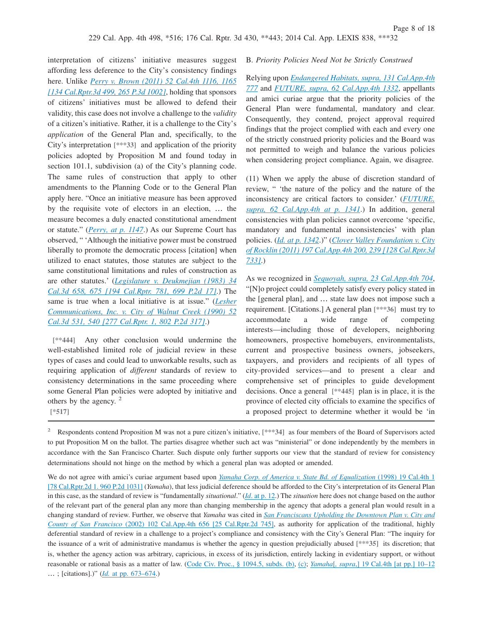interpretation of citizens' initiative measures suggest affording less deference to the City's consistency findings here. Unlike *[Perry v. Brown \(2011\) 52 Cal.4th 1116, 1165](http://advance.lexis.com/api/document?collection=cases&id=urn:contentItem:548M-J6F1-F04B-P000-00000-00&context=1000516) [\[134 Cal.Rptr.3d 499, 265 P.3d 1002\]](http://advance.lexis.com/api/document?collection=cases&id=urn:contentItem:548M-J6F1-F04B-P000-00000-00&context=1000516)*, holding that sponsors of citizens' initiatives must be allowed to defend their validity, this case does not involve a challenge to the *validity* of a citizen's initiative. Rather, it is a challenge to the City's *application* of the General Plan and, specifically, to the City's interpretation **[\*\*\*33]** and application of the priority policies adopted by Proposition M and found today in section 101.1, subdivision (a) of the City's planning code. The same rules of construction that apply to other amendments to the Planning Code or to the General Plan apply here. "Once an initiative measure has been approved by the requisite vote of electors in an election, … the measure becomes a duly enacted constitutional amendment or statute." (*[Perry, at p. 1147](http://advance.lexis.com/api/document?collection=cases&id=urn:contentItem:548M-J6F1-F04B-P000-00000-00&context=1000516)*.) As our Supreme Court has observed, " 'Although the initiative power must be construed liberally to promote the democratic process [citation] when utilized to enact statutes, those statutes are subject to the same constitutional limitations and rules of construction as are other statutes.' (*[Legislature v. Deukmejian \(1983\) 34](http://advance.lexis.com/api/document?collection=cases&id=urn:contentItem:3RX6-DYT0-003D-J1R3-00000-00&context=1000516) [Cal.3d 658, 675 \[194 Cal.Rptr. 781, 699 P.2d 17\]](http://advance.lexis.com/api/document?collection=cases&id=urn:contentItem:3RX6-DYT0-003D-J1R3-00000-00&context=1000516)*.) The same is true when a local initiative is at issue." (*[Lesher](http://advance.lexis.com/api/document?collection=cases&id=urn:contentItem:3RX4-8YB0-003D-J155-00000-00&context=1000516) [Communications, Inc. v. City of Walnut Creek \(1990\) 52](http://advance.lexis.com/api/document?collection=cases&id=urn:contentItem:3RX4-8YB0-003D-J155-00000-00&context=1000516) [Cal.3d 531, 540 \[277 Cal.Rptr. 1, 802 P.2d 317\]](http://advance.lexis.com/api/document?collection=cases&id=urn:contentItem:3RX4-8YB0-003D-J155-00000-00&context=1000516)*.)

**[\*\*444]** Any other conclusion would undermine the well-established limited role of judicial review in these types of cases and could lead to unworkable results, such as requiring application of *different* standards of review to consistency determinations in the same proceeding where some General Plan policies were adopted by initiative and others by the agency.<sup>2</sup> **[\*517]**

#### B. *Priority Policies Need Not be Strictly Construed*

Relying upon *[Endangered Habitats, supra, 131 Cal.App.4th](http://advance.lexis.com/api/document?collection=cases&id=urn:contentItem:4GRS-FF00-0039-44CJ-00000-00&context=1000516) [777](http://advance.lexis.com/api/document?collection=cases&id=urn:contentItem:4GRS-FF00-0039-44CJ-00000-00&context=1000516)* and *[FUTURE, supra, 62 Cal.App.4th 1332](http://advance.lexis.com/api/document?collection=cases&id=urn:contentItem:3SDT-85R0-0039-40YN-00000-00&context=1000516)*, appellants and amici curiae argue that the priority policies of the General Plan were fundamental, mandatory and clear. Consequently, they contend, project approval required findings that the project complied with each and every one of the strictly construed priority policies and the Board was not permitted to weigh and balance the various policies when considering project compliance. Again, we disagree.

(11) When we apply the abuse of discretion standard of review, " 'the nature of the policy and the nature of the inconsistency are critical factors to consider.' (*[FUTURE,](http://advance.lexis.com/api/document?collection=cases&id=urn:contentItem:3SDT-85R0-0039-40YN-00000-00&context=1000516) [supra, 62 Cal.App.4th at p. 1341](http://advance.lexis.com/api/document?collection=cases&id=urn:contentItem:3SDT-85R0-0039-40YN-00000-00&context=1000516)*.) In addition, general consistencies with plan policies cannot overcome 'specific, mandatory and fundamental inconsistencies' with plan policies. (*[Id. at p. 1342](http://advance.lexis.com/api/document?collection=cases&id=urn:contentItem:3SDT-85R0-0039-40YN-00000-00&context=1000516)*.)" (*[Clover Valley Foundation v. City](http://advance.lexis.com/api/document?collection=cases&id=urn:contentItem:538G-F051-F04B-N4RT-00000-00&context=1000516) [of Rocklin \(2011\) 197 Cal.App.4th 200, 239 \[128 Cal.Rptr.3d](http://advance.lexis.com/api/document?collection=cases&id=urn:contentItem:538G-F051-F04B-N4RT-00000-00&context=1000516) [733\]](http://advance.lexis.com/api/document?collection=cases&id=urn:contentItem:538G-F051-F04B-N4RT-00000-00&context=1000516)*.)

As we recognized in *[Sequoyah, supra, 23 Cal.App.4th 704](http://advance.lexis.com/api/document?collection=cases&id=urn:contentItem:3RX6-G9H0-003D-J1RC-00000-00&context=1000516)*, "[N]o project could completely satisfy every policy stated in the [general plan], and … state law does not impose such a requirement. [Citations.] A general plan **[\*\*\*36]** must try to accommodate a wide range of competing interests—including those of developers, neighboring homeowners, prospective homebuyers, environmentalists, current and prospective business owners, jobseekers, taxpayers, and providers and recipients of all types of city-provided services—and to present a clear and comprehensive set of principles to guide development decisions. Once a general **[\*\*445]** plan is in place, it is the province of elected city officials to examine the specifics of a proposed project to determine whether it would be 'in

<sup>2</sup> Respondents contend Proposition M was not a pure citizen's initiative, [\*\*\*34] as four members of the Board of Supervisors acted to put Proposition M on the ballot. The parties disagree whether such act was "ministerial" or done independently by the members in accordance with the San Francisco Charter. Such dispute only further supports our view that the standard of review for consistency determinations should not hinge on the method by which a general plan was adopted or amended.

We do not agree with amici's curiae argument based upon *[Yamaha Corp. of America v. State Bd. of Equalization](http://advance.lexis.com/api/document?collection=cases&id=urn:contentItem:3TGN-5W50-0039-4105-00000-00&context=1000516)* (1998) 19 Cal.4th 1 [\[78 Cal.Rptr.2d 1. 960 P.2d 1031\]](http://advance.lexis.com/api/document?collection=cases&id=urn:contentItem:3TGN-5W50-0039-4105-00000-00&context=1000516) (*Yamaha*), that less judicial deference should be afforded to the City's interpretation of its General Plan in this case, as the standard of review is "fundamentally *situational*." (*Id*[. at p. 12.](http://advance.lexis.com/api/document?collection=cases&id=urn:contentItem:3TGN-5W50-0039-4105-00000-00&context=1000516)) The *situation* here does not change based on the author of the relevant part of the general plan any more than changing membership in the agency that adopts a general plan would result in a changing standard of review. Further, we observe that *Yamaha* was cited in *[San Franciscans Upholding the Downtown Plan v. City and](http://advance.lexis.com/api/document?collection=cases&id=urn:contentItem:46WG-K130-0039-4249-00000-00&context=1000516) County of San Francisco* [\(2002\) 102 Cal.App.4th 656 \[25 Cal.Rptr.2d 745\],](http://advance.lexis.com/api/document?collection=cases&id=urn:contentItem:46WG-K130-0039-4249-00000-00&context=1000516) as authority for application of the traditional, highly deferential standard of review in a challenge to a project's compliance and consistency with the City's General Plan: "The inquiry for the issuance of a writ of administrative mandamus is whether the agency in question prejudicially abused **[\*\*\*35]** its discretion; that is, whether the agency action was arbitrary, capricious, in excess of its jurisdiction, entirely lacking in evidentiary support, or without reasonable or rational basis as a matter of law. [\(Code Civ. Proc., § 1094.5, subds. \(b\),](http://advance.lexis.com/api/document?collection=statutes-legislation&id=urn:contentItem:4WK3-PB00-R03K-B0KF-00000-00&context=1000516) [\(c\);](http://advance.lexis.com/api/document?collection=statutes-legislation&id=urn:contentItem:4WK3-PB00-R03K-B0KF-00000-00&context=1000516) *Yamaha*[*, supra*[,\] 19 Cal.4th \[at pp.\] 10–12](http://advance.lexis.com/api/document?collection=cases&id=urn:contentItem:3TGN-5W50-0039-4105-00000-00&context=1000516) … ; [citations].)" (*Id.* [at pp. 673–674.](http://advance.lexis.com/api/document?collection=cases&id=urn:contentItem:46WG-K130-0039-4249-00000-00&context=1000516))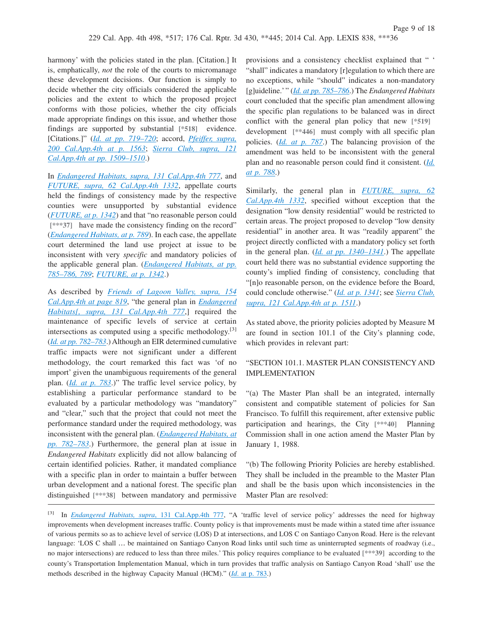harmony' with the policies stated in the plan. [Citation.] It is, emphatically, *not* the role of the courts to micromanage these development decisions. Our function is simply to decide whether the city officials considered the applicable policies and the extent to which the proposed project conforms with those policies, whether the city officials made appropriate findings on this issue, and whether those findings are supported by substantial **[\*518]** evidence. [Citations.]" (*[Id. at pp. 719–720](http://advance.lexis.com/api/document?collection=cases&id=urn:contentItem:3RX6-G9H0-003D-J1RC-00000-00&context=1000516)*; accord, *[Pfeiffer, supra,](http://advance.lexis.com/api/document?collection=cases&id=urn:contentItem:549R-8D51-F04B-N019-00000-00&context=1000516) [200 Cal.App.4th at p. 1563](http://advance.lexis.com/api/document?collection=cases&id=urn:contentItem:549R-8D51-F04B-N019-00000-00&context=1000516)*; *[Sierra Club, supra, 121](http://advance.lexis.com/api/document?collection=cases&id=urn:contentItem:4D7D-2Y10-0039-444F-00000-00&context=1000516) [Cal.App.4th at pp. 1509–1510](http://advance.lexis.com/api/document?collection=cases&id=urn:contentItem:4D7D-2Y10-0039-444F-00000-00&context=1000516)*.)

In *[Endangered Habitats, supra, 131 Cal.App.4th 777](http://advance.lexis.com/api/document?collection=cases&id=urn:contentItem:4GRS-FF00-0039-44CJ-00000-00&context=1000516)*, and *[FUTURE, supra, 62 Cal.App.4th 1332](http://advance.lexis.com/api/document?collection=cases&id=urn:contentItem:3SDT-85R0-0039-40YN-00000-00&context=1000516)*, appellate courts held the findings of consistency made by the respective counties were unsupported by substantial evidence (*[FUTURE, at p. 1342](http://advance.lexis.com/api/document?collection=cases&id=urn:contentItem:3SDT-85R0-0039-40YN-00000-00&context=1000516)*) and that "no reasonable person could [\*\*\*37] have made the consistency finding on the record" (*[Endangered Habitats, at p. 789](http://advance.lexis.com/api/document?collection=cases&id=urn:contentItem:4GRS-FF00-0039-44CJ-00000-00&context=1000516)*). In each case, the appellate court determined the land use project at issue to be inconsistent with very *specific* and mandatory policies of the applicable general plan. (*[Endangered Habitats, at pp.](http://advance.lexis.com/api/document?collection=cases&id=urn:contentItem:4GRS-FF00-0039-44CJ-00000-00&context=1000516) [785–786, 789](http://advance.lexis.com/api/document?collection=cases&id=urn:contentItem:4GRS-FF00-0039-44CJ-00000-00&context=1000516)*; *[FUTURE, at p. 1342](http://advance.lexis.com/api/document?collection=cases&id=urn:contentItem:3SDT-85R0-0039-40YN-00000-00&context=1000516)*.)

As described by *[Friends of Lagoon Valley, supra, 154](http://advance.lexis.com/api/document?collection=cases&id=urn:contentItem:4PJ2-63S0-TXFN-734W-00000-00&context=1000516) [Cal.App.4th at page 819](http://advance.lexis.com/api/document?collection=cases&id=urn:contentItem:4PJ2-63S0-TXFN-734W-00000-00&context=1000516)*, "the general plan in *[Endangered](http://advance.lexis.com/api/document?collection=cases&id=urn:contentItem:4GRS-FF00-0039-44CJ-00000-00&context=1000516) [Habitats\[, supra, 131 Cal.App.4th 777](http://advance.lexis.com/api/document?collection=cases&id=urn:contentItem:4GRS-FF00-0039-44CJ-00000-00&context=1000516)*,] required the maintenance of specific levels of service at certain intersections as computed using a specific methodology.<sup>[3]</sup> (*[Id. at pp. 782–783](http://advance.lexis.com/api/document?collection=cases&id=urn:contentItem:4GRS-FF00-0039-44CJ-00000-00&context=1000516)*.) Although an EIR determined cumulative traffic impacts were not significant under a different methodology, the court remarked this fact was 'of no import' given the unambiguous requirements of the general plan. (*[Id. at p. 783](http://advance.lexis.com/api/document?collection=cases&id=urn:contentItem:4GRS-FF00-0039-44CJ-00000-00&context=1000516)*.)" The traffic level service policy, by establishing a particular performance standard to be evaluated by a particular methodology was "mandatory" and "clear," such that the project that could not meet the performance standard under the required methodology, was inconsistent with the general plan. (*[Endangered Habitats, at](http://advance.lexis.com/api/document?collection=cases&id=urn:contentItem:4GRS-FF00-0039-44CJ-00000-00&context=1000516) [pp. 782–783](http://advance.lexis.com/api/document?collection=cases&id=urn:contentItem:4GRS-FF00-0039-44CJ-00000-00&context=1000516)*.) Furthermore, the general plan at issue in *Endangered Habitats* explicitly did not allow balancing of certain identified policies. Rather, it mandated compliance with a specific plan in order to maintain a buffer between urban development and a national forest. The specific plan distinguished **[\*\*\*38]** between mandatory and permissive

provisions and a consistency checklist explained that " ' "shall" indicates a mandatory [r]egulation to which there are no exceptions, while "should" indicates a non-mandatory [g]uideline.' " (*[Id. at pp. 785–786](http://advance.lexis.com/api/document?collection=cases&id=urn:contentItem:4GRS-FF00-0039-44CJ-00000-00&context=1000516)*.) The *Endangered Habitats* court concluded that the specific plan amendment allowing the specific plan regulations to be balanced was in direct conflict with the general plan policy that new **[\*519]** development **[\*\*446]** must comply with all specific plan policies. (*[Id. at p. 787](http://advance.lexis.com/api/document?collection=cases&id=urn:contentItem:4GRS-FF00-0039-44CJ-00000-00&context=1000516)*.) The balancing provision of the amendment was held to be inconsistent with the general plan and no reasonable person could find it consistent. (*[Id.](http://advance.lexis.com/api/document?collection=cases&id=urn:contentItem:4GRS-FF00-0039-44CJ-00000-00&context=1000516) [at p. 788](http://advance.lexis.com/api/document?collection=cases&id=urn:contentItem:4GRS-FF00-0039-44CJ-00000-00&context=1000516)*.)

Similarly, the general plan in *[FUTURE, supra, 62](http://advance.lexis.com/api/document?collection=cases&id=urn:contentItem:3SDT-85R0-0039-40YN-00000-00&context=1000516) [Cal.App.4th 1332](http://advance.lexis.com/api/document?collection=cases&id=urn:contentItem:3SDT-85R0-0039-40YN-00000-00&context=1000516)*, specified without exception that the designation "low density residential" would be restricted to certain areas. The project proposed to develop "low density residential" in another area. It was "readily apparent" the project directly conflicted with a mandatory policy set forth in the general plan. (*[Id. at pp. 1340–1341](http://advance.lexis.com/api/document?collection=cases&id=urn:contentItem:3SDT-85R0-0039-40YN-00000-00&context=1000516)*.) The appellate court held there was no substantial evidence supporting the county's implied finding of consistency, concluding that "[n]o reasonable person, on the evidence before the Board, could conclude otherwise." (*[Id. at p. 1341](http://advance.lexis.com/api/document?collection=cases&id=urn:contentItem:3SDT-85R0-0039-40YN-00000-00&context=1000516)*; see *[Sierra Club,](http://advance.lexis.com/api/document?collection=cases&id=urn:contentItem:4D7D-2Y10-0039-444F-00000-00&context=1000516) [supra, 121 Cal.App.4th at p. 1511](http://advance.lexis.com/api/document?collection=cases&id=urn:contentItem:4D7D-2Y10-0039-444F-00000-00&context=1000516)*.)

As stated above, the priority policies adopted by Measure M are found in section 101.1 of the City's planning code, which provides in relevant part:

# "SECTION 101.1. MASTER PLAN CONSISTENCY AND IMPLEMENTATION

"(a) The Master Plan shall be an integrated, internally consistent and compatible statement of policies for San Francisco. To fulfill this requirement, after extensive public participation and hearings, the City **[\*\*\*40]** Planning Commission shall in one action amend the Master Plan by January 1, 1988.

"(b) The following Priority Policies are hereby established. They shall be included in the preamble to the Master Plan and shall be the basis upon which inconsistencies in the Master Plan are resolved:

<sup>[3]</sup> In *[Endangered Habitats, supra](http://advance.lexis.com/api/document?collection=cases&id=urn:contentItem:4GRS-FF00-0039-44CJ-00000-00&context=1000516)*, 131 Cal.App.4th 777, "A 'traffic level of service policy' addresses the need for highway improvements when development increases traffic. County policy is that improvements must be made within a stated time after issuance of various permits so as to achieve level of service (LOS) D at intersections, and LOS C on Santiago Canyon Road. Here is the relevant language: 'LOS C shall … be maintained on Santiago Canyon Road links until such time as uninterrupted segments of roadway (i.e., no major intersections) are reduced to less than three miles.' This policy requires compliance to be evaluated **[\*\*\*39]** according to the county's Transportation Implementation Manual, which in turn provides that traffic analysis on Santiago Canyon Road 'shall' use the methods described in the highway Capacity Manual (HCM)." (*Id*[. at p. 783.](http://advance.lexis.com/api/document?collection=cases&id=urn:contentItem:4GRS-FF00-0039-44CJ-00000-00&context=1000516))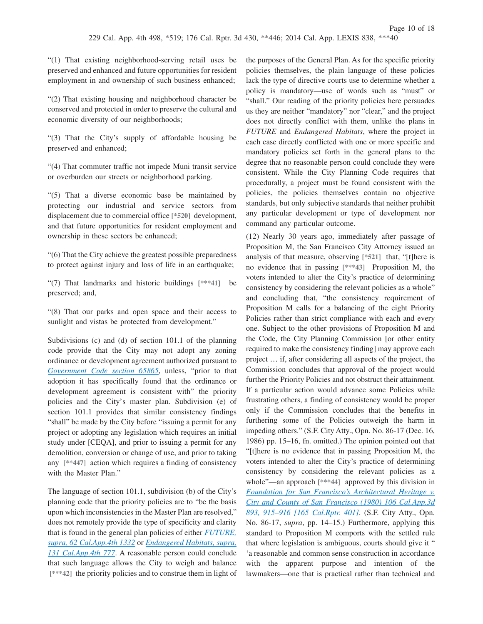"(1) That existing neighborhood-serving retail uses be preserved and enhanced and future opportunities for resident employment in and ownership of such business enhanced;

"(2) That existing housing and neighborhood character be conserved and protected in order to preserve the cultural and economic diversity of our neighborhoods;

"(3) That the City's supply of affordable housing be preserved and enhanced;

"(4) That commuter traffic not impede Muni transit service or overburden our streets or neighborhood parking.

"(5) That a diverse economic base be maintained by protecting our industrial and service sectors from displacement due to commercial office **[\*520]** development, and that future opportunities for resident employment and ownership in these sectors be enhanced;

"(6) That the City achieve the greatest possible preparedness to protect against injury and loss of life in an earthquake;

"(7) That landmarks and historic buildings **[\*\*\*41]** be preserved; and,

"(8) That our parks and open space and their access to sunlight and vistas be protected from development."

Subdivisions (c) and (d) of section 101.1 of the planning code provide that the City may not adopt any zoning ordinance or development agreement authorized pursuant to *[Government Code section 65865](http://advance.lexis.com/api/document?collection=statutes-legislation&id=urn:contentItem:4WN7-Y190-R03N-51WK-00000-00&context=1000516)*, unless, "prior to that adoption it has specifically found that the ordinance or development agreement is consistent with" the priority policies and the City's master plan. Subdivision (e) of section 101.1 provides that similar consistency findings "shall" be made by the City before "issuing a permit for any project or adopting any legislation which requires an initial study under [CEQA], and prior to issuing a permit for any demolition, conversion or change of use, and prior to taking any **[\*\*447]** action which requires a finding of consistency with the Master Plan."

The language of section 101.1, subdivision (b) of the City's planning code that the priority policies are to "be the basis upon which inconsistencies in the Master Plan are resolved," does not remotely provide the type of specificity and clarity that is found in the general plan policies of either *[FUTURE,](http://advance.lexis.com/api/document?collection=cases&id=urn:contentItem:3SDT-85R0-0039-40YN-00000-00&context=1000516) [supra, 62 Cal.App.4th 1332](http://advance.lexis.com/api/document?collection=cases&id=urn:contentItem:3SDT-85R0-0039-40YN-00000-00&context=1000516)* or *[Endangered Habitats, supra,](http://advance.lexis.com/api/document?collection=cases&id=urn:contentItem:4GRS-FF00-0039-44CJ-00000-00&context=1000516) [131 Cal.App.4th 777](http://advance.lexis.com/api/document?collection=cases&id=urn:contentItem:4GRS-FF00-0039-44CJ-00000-00&context=1000516)*. A reasonable person could conclude that such language allows the City to weigh and balance **[\*\*\*42]** the priority policies and to construe them in light of the purposes of the General Plan. As for the specific priority policies themselves, the plain language of these policies lack the type of directive courts use to determine whether a policy is mandatory—use of words such as "must" or "shall." Our reading of the priority policies here persuades us they are neither "mandatory" nor "clear," and the project does not directly conflict with them, unlike the plans in *FUTURE* and *Endangered Habitats*, where the project in each case directly conflicted with one or more specific and mandatory policies set forth in the general plans to the degree that no reasonable person could conclude they were consistent. While the City Planning Code requires that procedurally, a project must be found consistent with the policies, the policies themselves contain no objective standards, but only subjective standards that neither prohibit any particular development or type of development nor command any particular outcome.

(12) Nearly 30 years ago, immediately after passage of Proposition M, the San Francisco City Attorney issued an analysis of that measure, observing **[\*521]** that, "[t]here is no evidence that in passing **[\*\*\*43]** Proposition M, the voters intended to alter the City's practice of determining consistency by considering the relevant policies as a whole" and concluding that, "the consistency requirement of Proposition M calls for a balancing of the eight Priority Policies rather than strict compliance with each and every one. Subject to the other provisions of Proposition M and the Code, the City Planning Commission [or other entity required to make the consistency finding] may approve each project … if, after considering all aspects of the project, the Commission concludes that approval of the project would further the Priority Policies and not obstruct their attainment. If a particular action would advance some Policies while frustrating others, a finding of consistency would be proper only if the Commission concludes that the benefits in furthering some of the Policies outweigh the harm in impeding others." (S.F. City Atty., Opn. No. 86-17 (Dec. 16, 1986) pp. 15–16, fn. omitted.) The opinion pointed out that "[t]here is no evidence that in passing Proposition M, the voters intended to alter the City's practice of determining consistency by considering the relevant policies as a whole"—an approach **[\*\*\*44]** approved by this division in *[Foundation for San Francisco's Architectural Heritage v.](http://advance.lexis.com/api/document?collection=cases&id=urn:contentItem:3S11-STS0-003C-R4GM-00000-00&context=1000516) [City and County of San Francisco \(1980\) 106 Cal.App.3d](http://advance.lexis.com/api/document?collection=cases&id=urn:contentItem:3S11-STS0-003C-R4GM-00000-00&context=1000516) [893, 915–916 \[165 Cal.Rptr. 401\]](http://advance.lexis.com/api/document?collection=cases&id=urn:contentItem:3S11-STS0-003C-R4GM-00000-00&context=1000516)*. (S.F. City Atty., Opn. No. 86-17, *supra*, pp. 14–15.) Furthermore, applying this standard to Proposition M comports with the settled rule that where legislation is ambiguous, courts should give it " 'a reasonable and common sense construction in accordance with the apparent purpose and intention of the lawmakers—one that is practical rather than technical and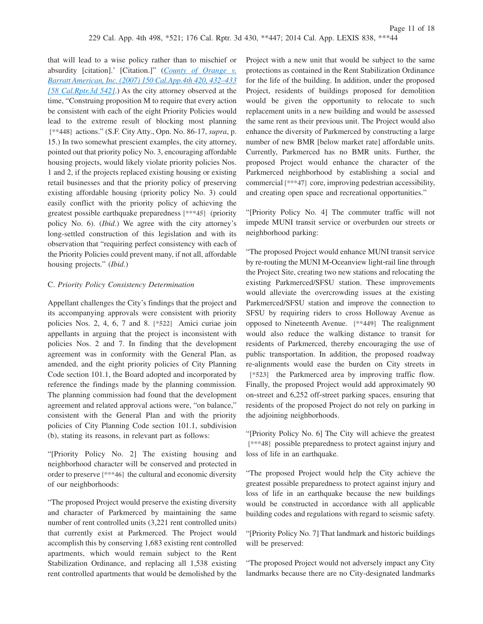that will lead to a wise policy rather than to mischief or absurdity [citation].' [Citation.]" (*[County of Orange v.](http://advance.lexis.com/api/document?collection=cases&id=urn:contentItem:4NMF-S050-0039-431P-00000-00&context=1000516) [Barratt American, Inc. \(2007\) 150 Cal.App.4th 420, 432–433](http://advance.lexis.com/api/document?collection=cases&id=urn:contentItem:4NMF-S050-0039-431P-00000-00&context=1000516) [\[58 Cal.Rptr.3d 542\]](http://advance.lexis.com/api/document?collection=cases&id=urn:contentItem:4NMF-S050-0039-431P-00000-00&context=1000516)*.) As the city attorney observed at the time, "Construing proposition M to require that every action be consistent with each of the eight Priority Policies would lead to the extreme result of blocking most planning **[\*\*448]** actions." (S.F. City Atty., Opn. No. 86-17, *supra*, p. 15.) In two somewhat prescient examples, the city attorney, pointed out that priority policy No. 3, encouraging affordable housing projects, would likely violate priority policies Nos. 1 and 2, if the projects replaced existing housing or existing retail businesses and that the priority policy of preserving existing affordable housing (priority policy No. 3) could easily conflict with the priority policy of achieving the greatest possible earthquake preparedness **[\*\*\*45]** (priority policy No. 6). (*Ibid*.) We agree with the city attorney's long-settled construction of this legislation and with its observation that "requiring perfect consistency with each of the Priority Policies could prevent many, if not all, affordable housing projects." (*Ibid*.)

### C. *Priority Policy Consistency Determination*

Appellant challenges the City's findings that the project and its accompanying approvals were consistent with priority policies Nos. 2, 4, 6, 7 and 8. **[\*522]** Amici curiae join appellants in arguing that the project is inconsistent with policies Nos. 2 and 7. In finding that the development agreement was in conformity with the General Plan, as amended, and the eight priority policies of City Planning Code section 101.1, the Board adopted and incorporated by reference the findings made by the planning commission. The planning commission had found that the development agreement and related approval actions were, "on balance," consistent with the General Plan and with the priority policies of City Planning Code section 101.1, subdivision (b), stating its reasons, in relevant part as follows:

"[Priority Policy No. 2] The existing housing and neighborhood character will be conserved and protected in order to preserve **[\*\*\*46]** the cultural and economic diversity of our neighborhoods:

"The proposed Project would preserve the existing diversity and character of Parkmerced by maintaining the same number of rent controlled units (3,221 rent controlled units) that currently exist at Parkmerced. The Project would accomplish this by conserving 1,683 existing rent controlled apartments, which would remain subject to the Rent Stabilization Ordinance, and replacing all 1,538 existing rent controlled apartments that would be demolished by the

Project with a new unit that would be subject to the same protections as contained in the Rent Stabilization Ordinance for the life of the building. In addition, under the proposed Project, residents of buildings proposed for demolition would be given the opportunity to relocate to such replacement units in a new building and would be assessed the same rent as their previous unit. The Project would also enhance the diversity of Parkmerced by constructing a large number of new BMR [below market rate] affordable units. Currently, Parkmerced has no BMR units. Further, the proposed Project would enhance the character of the Parkmerced neighborhood by establishing a social and commercial **[\*\*\*47]** core, improving pedestrian accessibility, and creating open space and recreational opportunities."

"[Priority Policy No. 4] The commuter traffic will not impede MUNI transit service or overburden our streets or neighborhood parking:

"The proposed Project would enhance MUNI transit service by re‐routing the MUNI M‐Oceanview light‐rail line through the Project Site, creating two new stations and relocating the existing Parkmerced/SFSU station. These improvements would alleviate the overcrowding issues at the existing Parkmerced/SFSU station and improve the connection to SFSU by requiring riders to cross Holloway Avenue as opposed to Nineteenth Avenue. **[\*\*449]** The realignment would also reduce the walking distance to transit for residents of Parkmerced, thereby encouraging the use of public transportation. In addition, the proposed roadway re‐alignments would ease the burden on City streets in **[\*523]** the Parkmerced area by improving traffic flow. Finally, the proposed Project would add approximately 90 on‐street and 6,252 off‐street parking spaces, ensuring that residents of the proposed Project do not rely on parking in the adjoining neighborhoods.

"[Priority Policy No. 6] The City will achieve the greatest **[\*\*\*48]** possible preparedness to protect against injury and loss of life in an earthquake.

"The proposed Project would help the City achieve the greatest possible preparedness to protect against injury and loss of life in an earthquake because the new buildings would be constructed in accordance with all applicable building codes and regulations with regard to seismic safety.

"[Priority Policy No. 7] That landmark and historic buildings will be preserved:

"The proposed Project would not adversely impact any City landmarks because there are no City-designated landmarks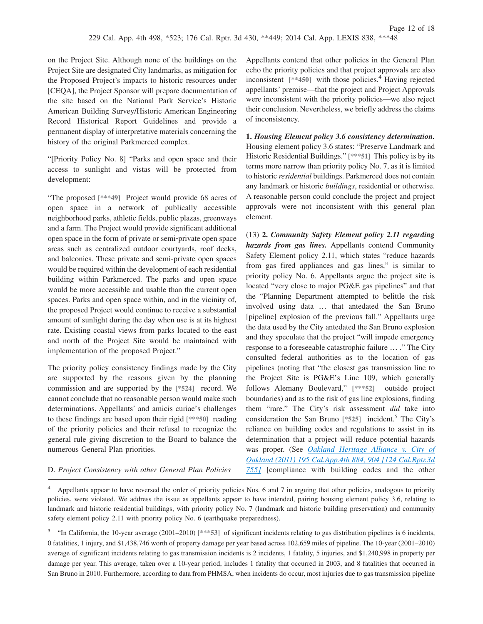on the Project Site. Although none of the buildings on the Project Site are designated City landmarks, as mitigation for the Proposed Project's impacts to historic resources under [CEQA], the Project Sponsor will prepare documentation of the site based on the National Park Service's Historic American Building Survey/Historic American Engineering Record Historical Report Guidelines and provide a permanent display of interpretative materials concerning the history of the original Parkmerced complex.

"[Priority Policy No. 8] "Parks and open space and their access to sunlight and vistas will be protected from development:

"The proposed **[\*\*\*49]** Project would provide 68 acres of open space in a network of publically accessible neighborhood parks, athletic fields, public plazas, greenways and a farm. The Project would provide significant additional open space in the form of private or semi‐private open space areas such as centralized outdoor courtyards, roof decks, and balconies. These private and semi‐private open spaces would be required within the development of each residential building within Parkmerced. The parks and open space would be more accessible and usable than the current open spaces. Parks and open space within, and in the vicinity of, the proposed Project would continue to receive a substantial amount of sunlight during the day when use is at its highest rate. Existing coastal views from parks located to the east and north of the Project Site would be maintained with implementation of the proposed Project."

The priority policy consistency findings made by the City are supported by the reasons given by the planning commission and are supported by the **[\*524]** record. We cannot conclude that no reasonable person would make such determinations. Appellants' and amicis curiae's challenges to these findings are based upon their rigid **[\*\*\*50]** reading of the priority policies and their refusal to recognize the general rule giving discretion to the Board to balance the numerous General Plan priorities.

Appellants contend that other policies in the General Plan echo the priority policies and that project approvals are also inconsistent  $[**450]$  with those policies.<sup>4</sup> Having rejected appellants' premise—that the project and Project Approvals were inconsistent with the priority policies—we also reject their conclusion. Nevertheless, we briefly address the claims of inconsistency.

**1.** *Housing Element policy 3.6 consistency determination.* Housing element policy 3.6 states: "Preserve Landmark and Historic Residential Buildings." **[\*\*\*51]** This policy is by its terms more narrow than priority policy No. 7, as it is limited to historic *residential* buildings. Parkmerced does not contain any landmark or historic *buildings*, residential or otherwise. A reasonable person could conclude the project and project approvals were not inconsistent with this general plan element.

(13) **2.** *Community Safety Element policy 2.11 regarding hazards from gas lines.* Appellants contend Community Safety Element policy 2.11, which states "reduce hazards from gas fired appliances and gas lines," is similar to priority policy No. 6. Appellants argue the project site is located "very close to major PG&E gas pipelines" and that the "Planning Department attempted to belittle the risk involved using data … that antedated the San Bruno [pipeline] explosion of the previous fall." Appellants urge the data used by the City antedated the San Bruno explosion and they speculate that the project "will impede emergency response to a foreseeable catastrophic failure … ." The City consulted federal authorities as to the location of gas pipelines (noting that "the closest gas transmission line to the Project Site is PG&E's Line 109, which generally follows Alemany Boulevard," **[\*\*\*52]** outside project boundaries) and as to the risk of gas line explosions, finding them "rare." The City's risk assessment *did* take into consideration the San Bruno [\*525] incident.<sup>5</sup> The City's reliance on building codes and regulations to assist in its determination that a project will reduce potential hazards was proper. (See *[Oakland Heritage Alliance v. City of](http://advance.lexis.com/api/document?collection=cases&id=urn:contentItem:52WV-H501-F04B-N2PW-00000-00&context=1000516) [Oakland \(2011\) 195 Cal.App.4th 884, 904 \[124 Cal.Rptr.3d](http://advance.lexis.com/api/document?collection=cases&id=urn:contentItem:52WV-H501-F04B-N2PW-00000-00&context=1000516) [755\]](http://advance.lexis.com/api/document?collection=cases&id=urn:contentItem:52WV-H501-F04B-N2PW-00000-00&context=1000516)* [compliance with building codes and the other

D. *Project Consistency with other General Plan Policies*

<sup>4</sup> Appellants appear to have reversed the order of priority policies Nos. 6 and 7 in arguing that other policies, analogous to priority policies, were violated. We address the issue as appellants appear to have intended, pairing housing element policy 3.6, relating to landmark and historic residential buildings, with priority policy No. 7 (landmark and historic building preservation) and community safety element policy 2.11 with priority policy No. 6 (earthquake preparedness).

<sup>5</sup> "In California, the 10-year average (2001–2010) [\*\*\*53] of significant incidents relating to gas distribution pipelines is 6 incidents, 0 fatalities, 1 injury, and \$1,438,746 worth of property damage per year based across 102,659 miles of pipeline. The 10-year (2001–2010) average of significant incidents relating to gas transmission incidents is 2 incidents, 1 fatality, 5 injuries, and \$1,240,998 in property per damage per year. This average, taken over a 10-year period, includes 1 fatality that occurred in 2003, and 8 fatalities that occurred in San Bruno in 2010. Furthermore, according to data from PHMSA, when incidents do occur, most injuries due to gas transmission pipeline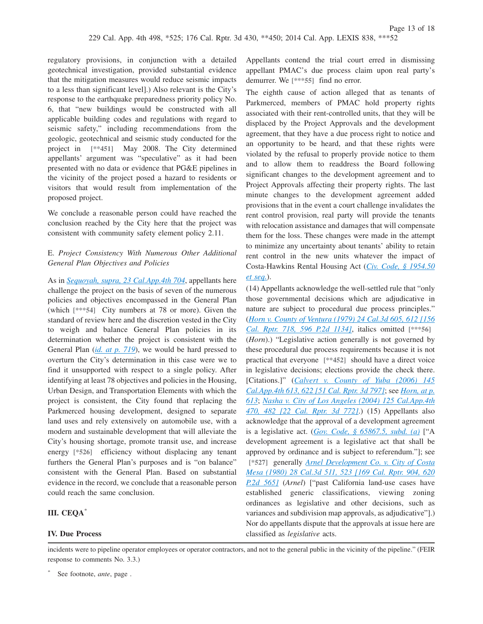regulatory provisions, in conjunction with a detailed geotechnical investigation, provided substantial evidence that the mitigation measures would reduce seismic impacts to a less than significant level].) Also relevant is the City's response to the earthquake preparedness priority policy No. 6, that "new buildings would be constructed with all applicable building codes and regulations with regard to seismic safety," including recommendations from the geologic, geotechnical and seismic study conducted for the project in **[\*\*451]** May 2008. The City determined appellants' argument was "speculative" as it had been presented with no data or evidence that PG&E pipelines in the vicinity of the project posed a hazard to residents or visitors that would result from implementation of the proposed project.

We conclude a reasonable person could have reached the conclusion reached by the City here that the project was consistent with community safety element policy 2.11.

## E. *Project Consistency With Numerous Other Additional General Plan Objectives and Policies*

As in *[Sequoyah, supra, 23 Cal.App.4th 704](http://advance.lexis.com/api/document?collection=cases&id=urn:contentItem:3RX6-G9H0-003D-J1RC-00000-00&context=1000516)*, appellants here challenge the project on the basis of seven of the numerous policies and objectives encompassed in the General Plan (which **[\*\*\*54]** City numbers at 78 or more). Given the standard of review here and the discretion vested in the City to weigh and balance General Plan policies in its determination whether the project is consistent with the General Plan (*[id. at p. 719](http://advance.lexis.com/api/document?collection=cases&id=urn:contentItem:3RX6-G9H0-003D-J1RC-00000-00&context=1000516)*), we would be hard pressed to overturn the City's determination in this case were we to find it unsupported with respect to a single policy. After identifying at least 78 objectives and policies in the Housing, Urban Design, and Transportation Elements with which the project is consistent, the City found that replacing the Parkmerced housing development, designed to separate land uses and rely extensively on automobile use, with a modern and sustainable development that will alleviate the City's housing shortage, promote transit use, and increase energy **[\*526]** efficiency without displacing any tenant furthers the General Plan's purposes and is "on balance" consistent with the General Plan. Based on substantial evidence in the record, we conclude that a reasonable person could reach the same conclusion.

### **III. CEQA**\*

### **IV. Due Process**

Appellants contend the trial court erred in dismissing appellant PMAC's due process claim upon real party's demurrer. We **[\*\*\*55]** find no error.

The eighth cause of action alleged that as tenants of Parkmerced, members of PMAC hold property rights associated with their rent-controlled units, that they will be displaced by the Project Approvals and the development agreement, that they have a due process right to notice and an opportunity to be heard, and that these rights were violated by the refusal to properly provide notice to them and to allow them to readdress the Board following significant changes to the development agreement and to Project Approvals affecting their property rights. The last minute changes to the development agreement added provisions that in the event a court challenge invalidates the rent control provision, real party will provide the tenants with relocation assistance and damages that will compensate them for the loss. These changes were made in the attempt to minimize any uncertainty about tenants' ability to retain rent control in the new units whatever the impact of Costa-Hawkins Rental Housing Act (*[Civ. Code, § 1954.50](http://advance.lexis.com/api/document?collection=statutes-legislation&id=urn:contentItem:4WK3-PDD0-R03K-W1K3-00000-00&context=1000516) [et seq.](http://advance.lexis.com/api/document?collection=statutes-legislation&id=urn:contentItem:4WK3-PDD0-R03K-W1K3-00000-00&context=1000516)*).

(14) Appellants acknowledge the well-settled rule that "only those governmental decisions which are adjudicative in nature are subject to procedural due process principles." (*[Horn v. County of Ventura \(1979\) 24 Cal.3d 605, 612 \[156](http://advance.lexis.com/api/document?collection=cases&id=urn:contentItem:3S11-S1B0-003C-R0RX-00000-00&context=1000516) [Cal. Rptr. 718, 596 P.2d 1134\]](http://advance.lexis.com/api/document?collection=cases&id=urn:contentItem:3S11-S1B0-003C-R0RX-00000-00&context=1000516)*, italics omitted **[\*\*\*56]** (*Horn*).) "Legislative action generally is not governed by these procedural due process requirements because it is not practical that everyone **[\*\*452]** should have a direct voice in legislative decisions; elections provide the check there. [Citations.]" (*[Calvert v. County of Yuba \(2006\) 145](http://advance.lexis.com/api/document?collection=cases&id=urn:contentItem:4MH6-7J50-0039-41SG-00000-00&context=1000516) [Cal.App.4th 613, 622 \[51 Cal. Rptr. 3d 797\]](http://advance.lexis.com/api/document?collection=cases&id=urn:contentItem:4MH6-7J50-0039-41SG-00000-00&context=1000516)*; see *[Horn, at p.](http://advance.lexis.com/api/document?collection=cases&id=urn:contentItem:3S11-S1B0-003C-R0RX-00000-00&context=1000516) [613](http://advance.lexis.com/api/document?collection=cases&id=urn:contentItem:3S11-S1B0-003C-R0RX-00000-00&context=1000516)*; *[Nasha v. City of Los Angeles \(2004\) 125 Cal.App.4th](http://advance.lexis.com/api/document?collection=cases&id=urn:contentItem:4F4J-MRD0-0039-41C9-00000-00&context=1000516) [470, 482 \[22 Cal. Rptr. 3d 772\]](http://advance.lexis.com/api/document?collection=cases&id=urn:contentItem:4F4J-MRD0-0039-41C9-00000-00&context=1000516)*.) (15) Appellants also acknowledge that the approval of a development agreement is a legislative act. (*[Gov. Code, § 65867.5, subd. \(a\)](http://advance.lexis.com/api/document?collection=statutes-legislation&id=urn:contentItem:4WN7-Y190-R03N-51WW-00000-00&context=1000516)* ["A development agreement is a legislative act that shall be approved by ordinance and is subject to referendum."]; see **[\*527]** generally *[Arnel Development Co. v. City of Costa](http://advance.lexis.com/api/document?collection=cases&id=urn:contentItem:3S11-RY90-003C-R0H8-00000-00&context=1000516) [Mesa \(1980\) 28 Cal.3d 511, 523 \[169 Cal. Rptr. 904, 620](http://advance.lexis.com/api/document?collection=cases&id=urn:contentItem:3S11-RY90-003C-R0H8-00000-00&context=1000516) [P.2d 565\]](http://advance.lexis.com/api/document?collection=cases&id=urn:contentItem:3S11-RY90-003C-R0H8-00000-00&context=1000516)* (*Arnel*) ["past California land-use cases have established generic classifications, viewing zoning ordinances as legislative and other decisions, such as variances and subdivision map approvals, as adjudicative"].) Nor do appellants dispute that the approvals at issue here are classified as *legislative* acts.

incidents were to pipeline operator employees or operator contractors, and not to the general public in the vicinity of the pipeline." (FEIR response to comments No. 3.3.)

<sup>\*</sup> See footnote, *ante*, page .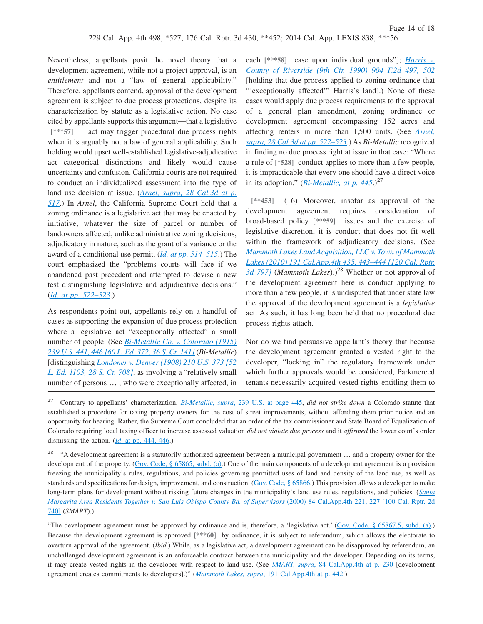Nevertheless, appellants posit the novel theory that a development agreement, while not a project approval, is an *entitlement* and not a "law of general applicability." Therefore, appellants contend, approval of the development agreement is subject to due process protections, despite its characterization by statute as a legislative action. No case cited by appellants supports this argument—that a legislative **[\*\*\*57]** act may trigger procedural due process rights when it is arguably not a law of general applicability. Such holding would upset well-established legislative-adjudicative act categorical distinctions and likely would cause uncertainty and confusion. California courts are not required to conduct an individualized assessment into the type of land use decision at issue. (*[Arnel, supra, 28 Cal.3d at p.](http://advance.lexis.com/api/document?collection=cases&id=urn:contentItem:3S11-RY90-003C-R0H8-00000-00&context=1000516) [517](http://advance.lexis.com/api/document?collection=cases&id=urn:contentItem:3S11-RY90-003C-R0H8-00000-00&context=1000516)*.) In *Arnel*, the California Supreme Court held that a zoning ordinance is a legislative act that may be enacted by initiative, whatever the size of parcel or number of landowners affected, unlike administrative zoning decisions, adjudicatory in nature, such as the grant of a variance or the award of a conditional use permit. (*[Id. at pp. 514–515](http://advance.lexis.com/api/document?collection=cases&id=urn:contentItem:3S11-RY90-003C-R0H8-00000-00&context=1000516)*.) The court emphasized the "problems courts will face if we abandoned past precedent and attempted to devise a new test distinguishing legislative and adjudicative decisions." (*[Id. at pp. 522–523](http://advance.lexis.com/api/document?collection=cases&id=urn:contentItem:3S11-RY90-003C-R0H8-00000-00&context=1000516)*.)

As respondents point out, appellants rely on a handful of cases as supporting the expansion of due process protection where a legislative act "exceptionally affected" a small number of people. (See *[Bi-Metallic Co. v. Colorado \(1915\)](http://advance.lexis.com/api/document?collection=cases&id=urn:contentItem:3S4X-6X30-003B-H2K3-00000-00&context=1000516) [239 U.S. 441, 446 \[60 L. Ed. 372, 36 S. Ct. 141\]](http://advance.lexis.com/api/document?collection=cases&id=urn:contentItem:3S4X-6X30-003B-H2K3-00000-00&context=1000516)* (*Bi-Metallic*) [distinguishing *[Londoner v. Denver \(1908\) 210 U.S. 373 \[52](http://advance.lexis.com/api/document?collection=cases&id=urn:contentItem:3S4X-9S10-003B-H1T9-00000-00&context=1000516) [L. Ed. 1103, 28 S. Ct. 708\]](http://advance.lexis.com/api/document?collection=cases&id=urn:contentItem:3S4X-9S10-003B-H1T9-00000-00&context=1000516)*, as involving a "relatively small number of persons … , who were exceptionally affected, in

each **[\*\*\*58]** case upon individual grounds"]; *[Harris v.](http://advance.lexis.com/api/document?collection=cases&id=urn:contentItem:3S4X-5190-003B-53YX-00000-00&context=1000516) [County of Riverside \(9th Cir. 1990\) 904 F.2d 497, 502](http://advance.lexis.com/api/document?collection=cases&id=urn:contentItem:3S4X-5190-003B-53YX-00000-00&context=1000516)* [holding that due process applied to zoning ordinance that "'exceptionally affected'" Harris's land].) None of these cases would apply due process requirements to the approval of a general plan amendment, zoning ordinance or development agreement encompassing 152 acres and affecting renters in more than 1,500 units. (See *[Arnel,](http://advance.lexis.com/api/document?collection=cases&id=urn:contentItem:3S11-RY90-003C-R0H8-00000-00&context=1000516) [supra, 28 Cal.3d at pp. 522–523](http://advance.lexis.com/api/document?collection=cases&id=urn:contentItem:3S11-RY90-003C-R0H8-00000-00&context=1000516)*.) As *Bi-Metallic* recognized in finding no due process right at issue in that case: "Where a rule of **[\*528]** conduct applies to more than a few people, it is impracticable that every one should have a direct voice in its adoption." ( $Bi$ -*Metallic, at p. 445.*)<sup>27</sup>

**[\*\*453]** (16) Moreover, insofar as approval of the development agreement requires consideration of broad-based policy **[\*\*\*59]** issues and the exercise of legislative discretion, it is conduct that does not fit well within the framework of adjudicatory decisions. (See *[Mammoth Lakes Land Acquisition, LLC v. Town of Mammoth](http://advance.lexis.com/api/document?collection=cases&id=urn:contentItem:51V2-YG21-F04B-N43B-00000-00&context=1000516) [Lakes \(2010\) 191 Cal.App.4th 435, 443–444 \[120 Cal. Rptr.](http://advance.lexis.com/api/document?collection=cases&id=urn:contentItem:51V2-YG21-F04B-N43B-00000-00&context=1000516)* [3d 797\]](http://advance.lexis.com/api/document?collection=cases&id=urn:contentItem:51V2-YG21-F04B-N43B-00000-00&context=1000516) (*Mammoth Lakes*).)<sup>28</sup> Whether or not approval of the development agreement here is conduct applying to more than a few people, it is undisputed that under state law the approval of the development agreement is a *legislative* act. As such, it has long been held that no procedural due process rights attach.

Nor do we find persuasive appellant's theory that because the development agreement granted a vested right to the developer, "locking in" the regulatory framework under which further approvals would be considered, Parkmerced tenants necessarily acquired vested rights entitling them to

"The development agreement must be approved by ordinance and is, therefore, a 'legislative act.' [\(Gov. Code, § 65867.5, subd. \(a\).](http://advance.lexis.com/api/document?collection=statutes-legislation&id=urn:contentItem:4WN7-Y190-R03N-51WW-00000-00&context=1000516)) Because the development agreement is approved **[\*\*\*60]** by ordinance, it is subject to referendum, which allows the electorate to overturn approval of the agreement. (*Ibid.*) While, as a legislative act, a development agreement can be disapproved by referendum, an unchallenged development agreement is an enforceable contract between the municipality and the developer. Depending on its terms, it may create vested rights in the developer with respect to land use. (See *SMART, supra*[, 84 Cal.App.4th at p. 230](http://advance.lexis.com/api/document?collection=cases&id=urn:contentItem:41FT-H4V0-0039-418F-00000-00&context=1000516) [development agreement creates commitments to developers].)" (*Mammoth Lakes, supra*[, 191 Cal.App.4th at p. 442.](http://advance.lexis.com/api/document?collection=cases&id=urn:contentItem:51V2-YG21-F04B-N43B-00000-00&context=1000516))

<sup>27</sup> Contrary to appellants' characterization, *Bi-Metallic, supra*[, 239 U.S. at page 445,](http://advance.lexis.com/api/document?collection=cases&id=urn:contentItem:3S4X-6X30-003B-H2K3-00000-00&context=1000516) *did not strike down* a Colorado statute that established a procedure for taxing property owners for the cost of street improvements, without affording them prior notice and an opportunity for hearing. Rather, the Supreme Court concluded that an order of the tax commissioner and State Board of Equalization of Colorado requiring local taxing officer to increase assessed valuation *did not violate due process* and it *affirmed* the lower court's order dismissing the action. (*Id*[. at pp. 444, 446.](http://advance.lexis.com/api/document?collection=cases&id=urn:contentItem:3S4X-6X30-003B-H2K3-00000-00&context=1000516))

<sup>&</sup>lt;sup>28</sup> "A development agreement is a statutorily authorized agreement between a municipal government ... and a property owner for the development of the property. [\(Gov. Code, § 65865, subd. \(a\).](http://advance.lexis.com/api/document?collection=statutes-legislation&id=urn:contentItem:4WN7-Y190-R03N-51WK-00000-00&context=1000516)) One of the main components of a development agreement is a provision freezing the municipality's rules, regulations, and policies governing permitted uses of land and density of the land use, as well as standards and specifications for design, improvement, and construction. [\(Gov. Code, § 65866.](http://advance.lexis.com/api/document?collection=statutes-legislation&id=urn:contentItem:4WN7-Y190-R03N-51WT-00000-00&context=1000516)) This provision allows a developer to make long-term plans for development without risking future changes in the municipality's land use rules, regulations, and policies. (*[Santa](http://advance.lexis.com/api/document?collection=cases&id=urn:contentItem:41FT-H4V0-0039-418F-00000-00&context=1000516) [Margarita Area Residents Together v. San Luis Obispo County Bd. of Supervisors](http://advance.lexis.com/api/document?collection=cases&id=urn:contentItem:41FT-H4V0-0039-418F-00000-00&context=1000516)* (2000) 84 Cal.App.4th 221, 227 [100 Cal. Rptr. 2d [740\]](http://advance.lexis.com/api/document?collection=cases&id=urn:contentItem:41FT-H4V0-0039-418F-00000-00&context=1000516) (*SMART*).)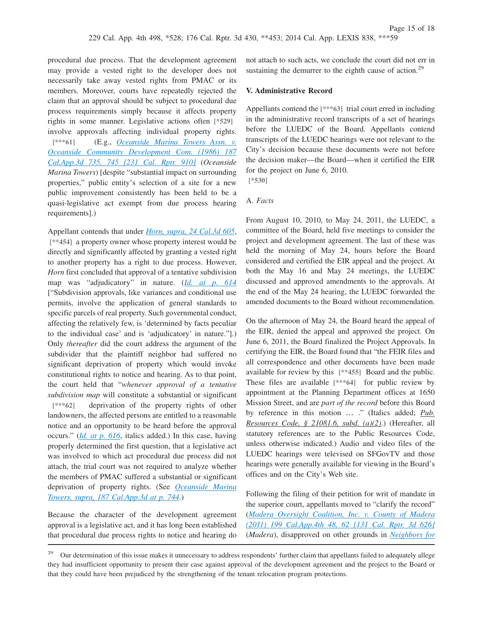not attach to such acts, we conclude the court did not err in sustaining the demurrer to the eighth cause of action.<sup>29</sup>

### **V. Administrative Record**

Appellants contend the **[\*\*\*63]** trial court erred in including in the administrative record transcripts of a set of hearings before the LUEDC of the Board. Appellants contend transcripts of the LUEDC hearings were not relevant to the City's decision because these documents were not before the decision maker—the Board—when it certified the EIR for the project on June 6, 2010.

**[\*530]**

### A. *Facts*

From August 10, 2010, to May 24, 2011, the LUEDC, a committee of the Board, held five meetings to consider the project and development agreement. The last of these was held the morning of May 24, hours before the Board considered and certified the EIR appeal and the project. At both the May 16 and May 24 meetings, the LUEDC discussed and approved amendments to the approvals. At the end of the May 24 hearing, the LUEDC forwarded the amended documents to the Board without recommendation.

On the afternoon of May 24, the Board heard the appeal of the EIR, denied the appeal and approved the project. On June 6, 2011, the Board finalized the Project Approvals. In certifying the EIR, the Board found that "the FEIR files and all correspondence and other documents have been made available for review by this **[\*\*455]** Board and the public. These files are available **[\*\*\*64]** for public review by appointment at the Planning Department offices at 1650 Mission Street, and are *part of the record* before this Board by reference in this motion … ." (Italics added; *Pub. Resources Code, § 21081.6, subd. (a)(2)*.) (Hereafter, all statutory references are to the Public Resources Code, unless otherwise indicated.) Audio and video files of the LUEDC hearings were televised on SFGovTV and those hearings were generally available for viewing in the Board's offices and on the City's Web site.

Following the filing of their petition for writ of mandate in the superior court, appellants moved to "clarify the record" (*[Madera Oversight Coalition, Inc. v. County of Madera](http://advance.lexis.com/api/document?collection=cases&id=urn:contentItem:53SS-JT81-F04B-N143-00000-00&context=1000516) [\(2011\) 199 Cal.App.4th 48, 62 \[131 Cal. Rptr. 3d 626\]](http://advance.lexis.com/api/document?collection=cases&id=urn:contentItem:53SS-JT81-F04B-N143-00000-00&context=1000516)* (*Madera*), disapproved on other grounds in *[Neighbors for](http://advance.lexis.com/api/document?collection=cases&id=urn:contentItem:592B-3NT1-F04B-P001-00000-00&context=1000516)*

procedural due process. That the development agreement may provide a vested right to the developer does not necessarily take away vested rights from PMAC or its members. Moreover, courts have repeatedly rejected the claim that an approval should be subject to procedural due process requirements simply because it affects property rights in some manner. Legislative actions often **[\*529]** involve approvals affecting individual property rights. **[\*\*\*61]** (E.g., *[Oceanside Marina Towers Assn. v.](http://advance.lexis.com/api/document?collection=cases&id=urn:contentItem:3RX6-JXR0-003D-J2G9-00000-00&context=1000516) [Oceanside Community Development Com. \(1986\) 187](http://advance.lexis.com/api/document?collection=cases&id=urn:contentItem:3RX6-JXR0-003D-J2G9-00000-00&context=1000516) [Cal.App.3d 735, 745 \[231 Cal. Rptr. 910\]](http://advance.lexis.com/api/document?collection=cases&id=urn:contentItem:3RX6-JXR0-003D-J2G9-00000-00&context=1000516)* (*Oceanside Marina Towers*) [despite "substantial impact on surrounding properties," public entity's selection of a site for a new public improvement consistently has been held to be a quasi-legislative act exempt from due process hearing requirements].)

Appellant contends that under *[Horn, supra, 24 Cal.3d 605](http://advance.lexis.com/api/document?collection=cases&id=urn:contentItem:3S11-S1B0-003C-R0RX-00000-00&context=1000516)*, **[\*\*454]** a property owner whose property interest would be directly and significantly affected by granting a vested right to another property has a right to due process. However, *Horn* first concluded that approval of a tentative subdivision map was "adjudicatory" in nature. (*[Id. at p. 614](http://advance.lexis.com/api/document?collection=cases&id=urn:contentItem:3S11-S1B0-003C-R0RX-00000-00&context=1000516)* ["Subdivision approvals, like variances and conditional use permits, involve the application of general standards to specific parcels of real property. Such governmental conduct, affecting the relatively few, is 'determined by facts peculiar to the individual case' and is 'adjudicatory' in nature."].) Only *thereafter* did the court address the argument of the subdivider that the plaintiff neighbor had suffered no significant deprivation of property which would invoke constitutional rights to notice and hearing. As to that point, the court held that "*whenever approval of a tentative subdivision map* will constitute a substantial or significant **[\*\*\*62]** deprivation of the property rights of other landowners, the affected persons are entitled to a reasonable notice and an opportunity to be heard before the approval occurs." (*[Id. at p. 616](http://advance.lexis.com/api/document?collection=cases&id=urn:contentItem:3S11-S1B0-003C-R0RX-00000-00&context=1000516)*, italics added.) In this case, having properly determined the first question, that a legislative act was involved to which act procedural due process did not attach, the trial court was not required to analyze whether the members of PMAC suffered a substantial or significant deprivation of property rights. (See *[Oceanside Marina](http://advance.lexis.com/api/document?collection=cases&id=urn:contentItem:3RX6-JXR0-003D-J2G9-00000-00&context=1000516) [Towers, supra, 187 Cal.App.3d at p. 744](http://advance.lexis.com/api/document?collection=cases&id=urn:contentItem:3RX6-JXR0-003D-J2G9-00000-00&context=1000516)*.)

Because the character of the development agreement approval is a legislative act, and it has long been established that procedural due process rights to notice and hearing do

<sup>&</sup>lt;sup>29</sup> Our determination of this issue makes it unnecessary to address respondents' further claim that appellants failed to adequately allege they had insufficient opportunity to present their case against approval of the development agreement and the project to the Board or that they could have been prejudiced by the strengthening of the tenant relocation program protections.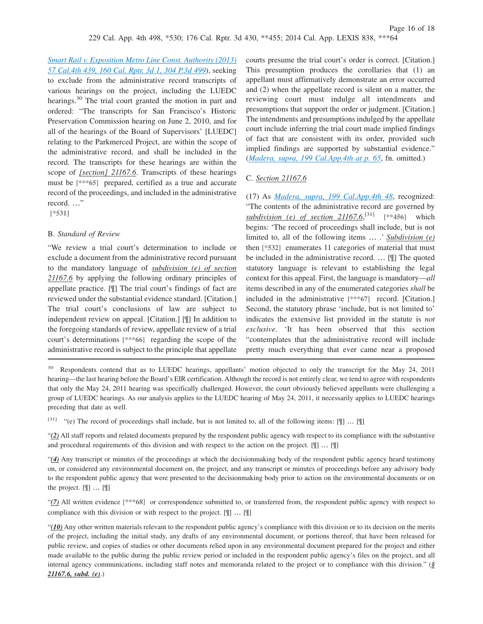*Smart Rail v. Exposition Metro Line Const. Authority (2013) [57 Cal.4th 439, 160 Cal. Rptr. 3d 1, 304 P.3d 499](http://advance.lexis.com/api/document?collection=cases&id=urn:contentItem:592B-3NT1-F04B-P001-00000-00&context=1000516)*), seeking to exclude from the administrative record transcripts of various hearings on the project, including the LUEDC hearings.<sup>30</sup> The trial court granted the motion in part and ordered: "The transcripts for San Francisco's Historic Preservation Commission hearing on June 2, 2010, and for all of the hearings of the Board of Supervisors' [LUEDC] relating to the Parkmerced Project, are within the scope of the administrative record, and shall be included in the record. The transcripts for these hearings are within the scope of *[section] 21167.6*. Transcripts of these hearings must be **[\*\*\*65]** prepared, certified as a true and accurate record of the proceedings, and included in the administrative record. …"

**[\*531]**

### B. *Standard of Review*

"We review a trial court's determination to include or exclude a document from the administrative record pursuant to the mandatory language of *subdivision (e) of section 21167.6* by applying the following ordinary principles of appellate practice. [¶] The trial court's findings of fact are reviewed under the substantial evidence standard. [Citation.] The trial court's conclusions of law are subject to independent review on appeal. [Citation.] [¶] In addition to the foregoing standards of review, appellate review of a trial court's determinations **[\*\*\*66]** regarding the scope of the administrative record is subject to the principle that appellate

courts presume the trial court's order is correct. [Citation.] This presumption produces the corollaries that (1) an appellant must affirmatively demonstrate an error occurred and (2) when the appellate record is silent on a matter, the reviewing court must indulge all intendments and presumptions that support the order or judgment. [Citation.] The intendments and presumptions indulged by the appellate court include inferring the trial court made implied findings of fact that are consistent with its order, provided such implied findings are supported by substantial evidence." (*[Madera, supra, 199 Cal.App.4th at p. 65](http://advance.lexis.com/api/document?collection=cases&id=urn:contentItem:53SS-JT81-F04B-N143-00000-00&context=1000516)*, fn. omitted.)

## C. *Section 21167.6*

(17) As *[Madera, supra, 199 Cal.App.4th 48](http://advance.lexis.com/api/document?collection=cases&id=urn:contentItem:53SS-JT81-F04B-N143-00000-00&context=1000516)*, recognized: "The contents of the administrative record are governed by *subdivision (e) of section 21167.6*, [31] **[\*\*456]** which begins: 'The record of proceedings shall include, but is not limited to, all of the following items … .' *Subdivision (e)* then **[\*532]** enumerates 11 categories of material that must be included in the administrative record. … [¶] The quoted statutory language is relevant to establishing the legal context for this appeal. First, the language is mandatory—*all* items described in any of the enumerated categories *shall* be included in the administrative **[\*\*\*67]** record. [Citation.] Second, the statutory phrase 'include, but is not limited to' indicates the extensive list provided in the statute is *not exclusive*. 'It has been observed that this section "contemplates that the administrative record will include pretty much everything that ever came near a proposed

<sup>30</sup> Respondents contend that as to LUEDC hearings, appellants' motion objected to only the transcript for the May 24, 2011 hearing—the last hearing before the Board's EIR certification. Although the record is not entirely clear, we tend to agree with respondents that only the May 24, 2011 hearing was specifically challenged. However, the court obviously believed appellants were challenging a group of LUEDC hearings. As our analysis applies to the LUEDC hearing of May 24, 2011, it necessarily applies to LUEDC hearings preceding that date as well.

[31] "(e) The record of proceedings shall include, but is not limited to, all of the following items: [¶] … [¶]

"*(2)* All staff reports and related documents prepared by the respondent public agency with respect to its compliance with the substantive and procedural requirements of this division and with respect to the action on the project. [ [ ] ... [ ]

"*(4)* Any transcript or minutes of the proceedings at which the decisionmaking body of the respondent public agency heard testimony on, or considered any environmental document on, the project, and any transcript or minutes of proceedings before any advisory body to the respondent public agency that were presented to the decisionmaking body prior to action on the environmental documents or on the project. [¶] … [¶]

"*(7)* All written evidence **[\*\*\*68]** or correspondence submitted to, or transferred from, the respondent public agency with respect to compliance with this division or with respect to the project. [¶] … [¶]

"*(10)* Any other written materials relevant to the respondent public agency's compliance with this division or to its decision on the merits of the project, including the initial study, any drafts of any environmental document, or portions thereof, that have been released for public review, and copies of studies or other documents relied upon in any environmental document prepared for the project and either made available to the public during the public review period or included in the respondent public agency's files on the project, and all internal agency communications, including staff notes and memoranda related to the project or to compliance with this division." (*§ 21167.6, subd. (e)*.)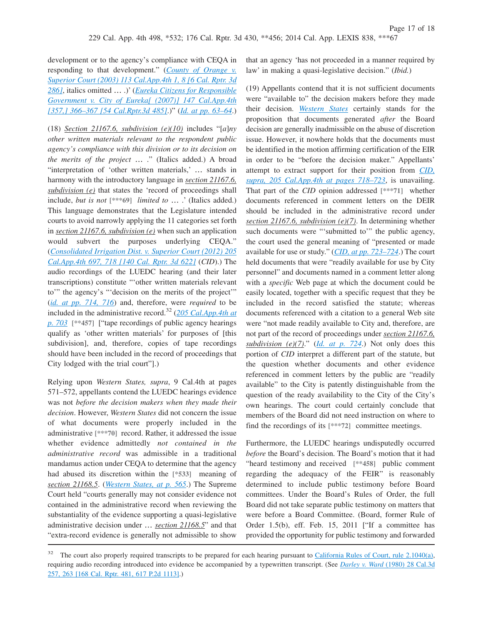development or to the agency's compliance with CEQA in responding to that development." (*[County of Orange v.](http://advance.lexis.com/api/document?collection=cases&id=urn:contentItem:49Y0-X3D0-0039-412H-00000-00&context=1000516) [Superior Court \(2003\) 113 Cal.App.4th 1, 8 \[6 Cal. Rptr. 3d](http://advance.lexis.com/api/document?collection=cases&id=urn:contentItem:49Y0-X3D0-0039-412H-00000-00&context=1000516) [286\]](http://advance.lexis.com/api/document?collection=cases&id=urn:contentItem:49Y0-X3D0-0039-412H-00000-00&context=1000516)*, italics omitted … .)' (*[Eureka Citizens for Responsible](http://advance.lexis.com/api/document?collection=cases&id=urn:contentItem:4MYG-C590-0039-40F9-00000-00&context=1000516) [Government v. City of Eureka\[ \(2007\)\] 147 Cal.App.4th](http://advance.lexis.com/api/document?collection=cases&id=urn:contentItem:4MYG-C590-0039-40F9-00000-00&context=1000516) [\[357,\] 366–367 \[54 Cal.Rptr.3d 485\]](http://advance.lexis.com/api/document?collection=cases&id=urn:contentItem:4MYG-C590-0039-40F9-00000-00&context=1000516)*.)" (*[Id. at pp. 63–64](http://advance.lexis.com/api/document?collection=cases&id=urn:contentItem:53SS-JT81-F04B-N143-00000-00&context=1000516)*.)

(18) *Section 21167.6, subdivision (e)(10)* includes "[*a*]*ny other written materials relevant to the respondent public agency's compliance with this division or to its decision on the merits of the project* … ." (Italics added.) A broad "interpretation of 'other written materials,' … stands in harmony with the introductory language in *section 21167.6, subdivision (e)* that states the 'record of proceedings shall include, *but is not* **[\*\*\*69]** *limited to* … .' (Italics added.) This language demonstrates that the Legislature intended courts to avoid narrowly applying the 11 categories set forth in *section 21167.6, subdivision (e)* when such an application would subvert the purposes underlying CEQA." (*[Consolidated Irrigation Dist. v. Superior Court \(2012\) 205](http://advance.lexis.com/api/document?collection=cases&id=urn:contentItem:55H0-07T1-F04B-N07P-00000-00&context=1000516) [Cal.App.4th 697, 718 \[140 Cal. Rptr. 3d 622\]](http://advance.lexis.com/api/document?collection=cases&id=urn:contentItem:55H0-07T1-F04B-N07P-00000-00&context=1000516)* (*CID*).) The audio recordings of the LUEDC hearing (and their later transcriptions) constitute "'other written materials relevant to'" the agency's "'decision on the merits of the project'" (*[id. at pp. 714, 716](http://advance.lexis.com/api/document?collection=cases&id=urn:contentItem:55H0-07T1-F04B-N07P-00000-00&context=1000516)*) and, therefore, were *required* to be included in the administrative record.<sup>32</sup> (*[205 Cal.App.4th at](http://advance.lexis.com/api/document?collection=cases&id=urn:contentItem:55H0-07T1-F04B-N07P-00000-00&context=1000516) [p. 703](http://advance.lexis.com/api/document?collection=cases&id=urn:contentItem:55H0-07T1-F04B-N07P-00000-00&context=1000516)* **[\*\*457]** ["tape recordings of public agency hearings qualify as 'other written materials' for purposes of [this subdivision], and, therefore, copies of tape recordings should have been included in the record of proceedings that City lodged with the trial court"].)

Relying upon *Western States, supra*, 9 Cal.4th at pages 571–572, appellants contend the LUEDC hearings evidence was not *before the decision makers when they made their decision*. However, *Western States* did not concern the issue of what documents were properly included in the administrative **[\*\*\*70]** record. Rather, it addressed the issue whether evidence admittedly *not contained in the administrative record* was admissible in a traditional mandamus action under CEQA to determine that the agency had abused its discretion within the **[\*533]** meaning of *section 21168.5*. (*[Western States, at p. 565](http://advance.lexis.com/api/document?collection=cases&id=urn:contentItem:3RX4-1BT0-003D-J51B-00000-00&context=1000516)*.) The Supreme Court held "courts generally may not consider evidence not contained in the administrative record when reviewing the substantiality of the evidence supporting a quasi-legislative administrative decision under … *section 21168.5*" and that "extra-record evidence is generally not admissible to show

that an agency 'has not proceeded in a manner required by law' in making a quasi-legislative decision." (*Ibid.*)

(19) Appellants contend that it is not sufficient documents were "available to" the decision makers before they made their decision. *[Western States](http://advance.lexis.com/api/document?collection=cases&id=urn:contentItem:3RX4-1BT0-003D-J51B-00000-00&context=1000516)* certainly stands for the proposition that documents generated *after* the Board decision are generally inadmissible on the abuse of discretion issue. However, it nowhere holds that the documents must be identified in the motion affirming certification of the EIR in order to be "before the decision maker." Appellants' attempt to extract support for their position from *[CID,](http://advance.lexis.com/api/document?collection=cases&id=urn:contentItem:55H0-07T1-F04B-N07P-00000-00&context=1000516) [supra, 205 Cal.App.4th at pages 718–723](http://advance.lexis.com/api/document?collection=cases&id=urn:contentItem:55H0-07T1-F04B-N07P-00000-00&context=1000516)*, is unavailing. That part of the *CID* opinion addressed **[\*\*\*71]** whether documents referenced in comment letters on the DEIR should be included in the administrative record under *section 21167.6, subdivision (e)(7)*. In determining whether such documents were "'submitted to" the public agency, the court used the general meaning of "presented or made available for use or study." (*[CID, at pp. 723–724](http://advance.lexis.com/api/document?collection=cases&id=urn:contentItem:55H0-07T1-F04B-N07P-00000-00&context=1000516)*.) The court held documents that were "readily available for use by City personnel" and documents named in a comment letter along with a *specific* Web page at which the document could be easily located, together with a specific request that they be included in the record satisfied the statute; whereas documents referenced with a citation to a general Web site were "not made readily available to City and, therefore, are not part of the record of proceedings under *section 21167.6, subdivision (e)(7)*." (*[Id. at p. 724](http://advance.lexis.com/api/document?collection=cases&id=urn:contentItem:55H0-07T1-F04B-N07P-00000-00&context=1000516)*.) Not only does this portion of *CID* interpret a different part of the statute, but the question whether documents and other evidence referenced in comment letters by the public are "readily available" to the City is patently distinguishable from the question of the ready availability to the City of the City's own hearings. The court could certainly conclude that members of the Board did not need instruction on where to find the recordings of its **[\*\*\*72]** committee meetings.

Furthermore, the LUEDC hearings undisputedly occurred *before* the Board's decision. The Board's motion that it had "heard testimony and received **[\*\*458]** public comment regarding the adequacy of the FEIR" is reasonably determined to include public testimony before Board committees. Under the Board's Rules of Order, the full Board did not take separate public testimony on matters that were before a Board Committee. (Board, former Rule of Order 1.5(b), eff. Feb. 15, 2011 ["If a committee has provided the opportunity for public testimony and forwarded

<sup>&</sup>lt;sup>32</sup> The court also properly required transcripts to be prepared for each hearing pursuant to [California Rules of Court, rule 2.1040\(a\),](http://advance.lexis.com/api/document?collection=statutes-legislation&id=urn:contentItem:536C-75N0-R03K-H21D-00000-00&context=1000516) requiring audio recording introduced into evidence be accompanied by a typewritten transcript. (See *Darley v. Ward* [\(1980\) 28 Cal.3d](http://advance.lexis.com/api/document?collection=cases&id=urn:contentItem:3S11-RYF0-003C-R0HW-00000-00&context=1000516) [257, 263 \[168 Cal. Rptr. 481, 617 P.2d 1113\].](http://advance.lexis.com/api/document?collection=cases&id=urn:contentItem:3S11-RYF0-003C-R0HW-00000-00&context=1000516))